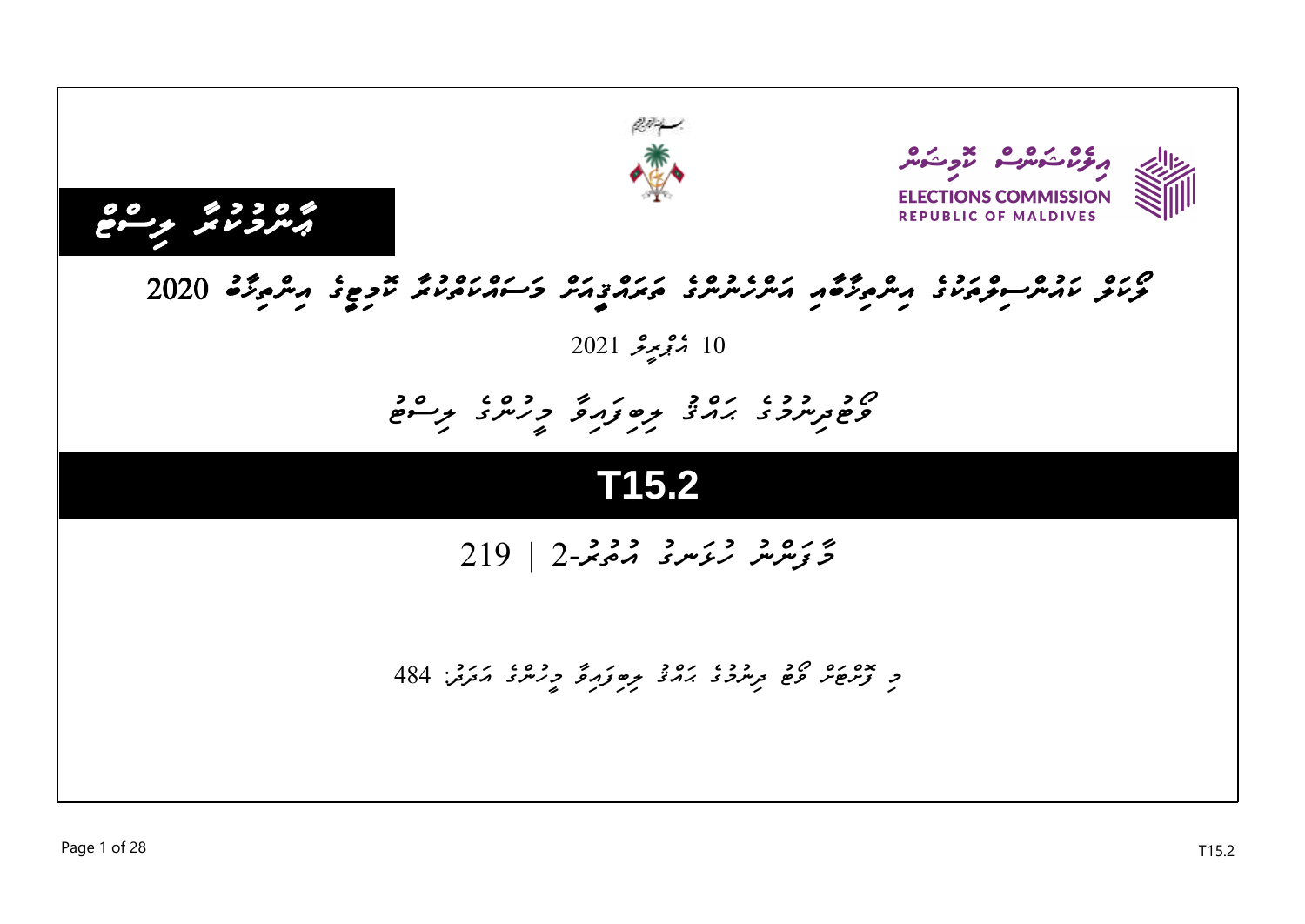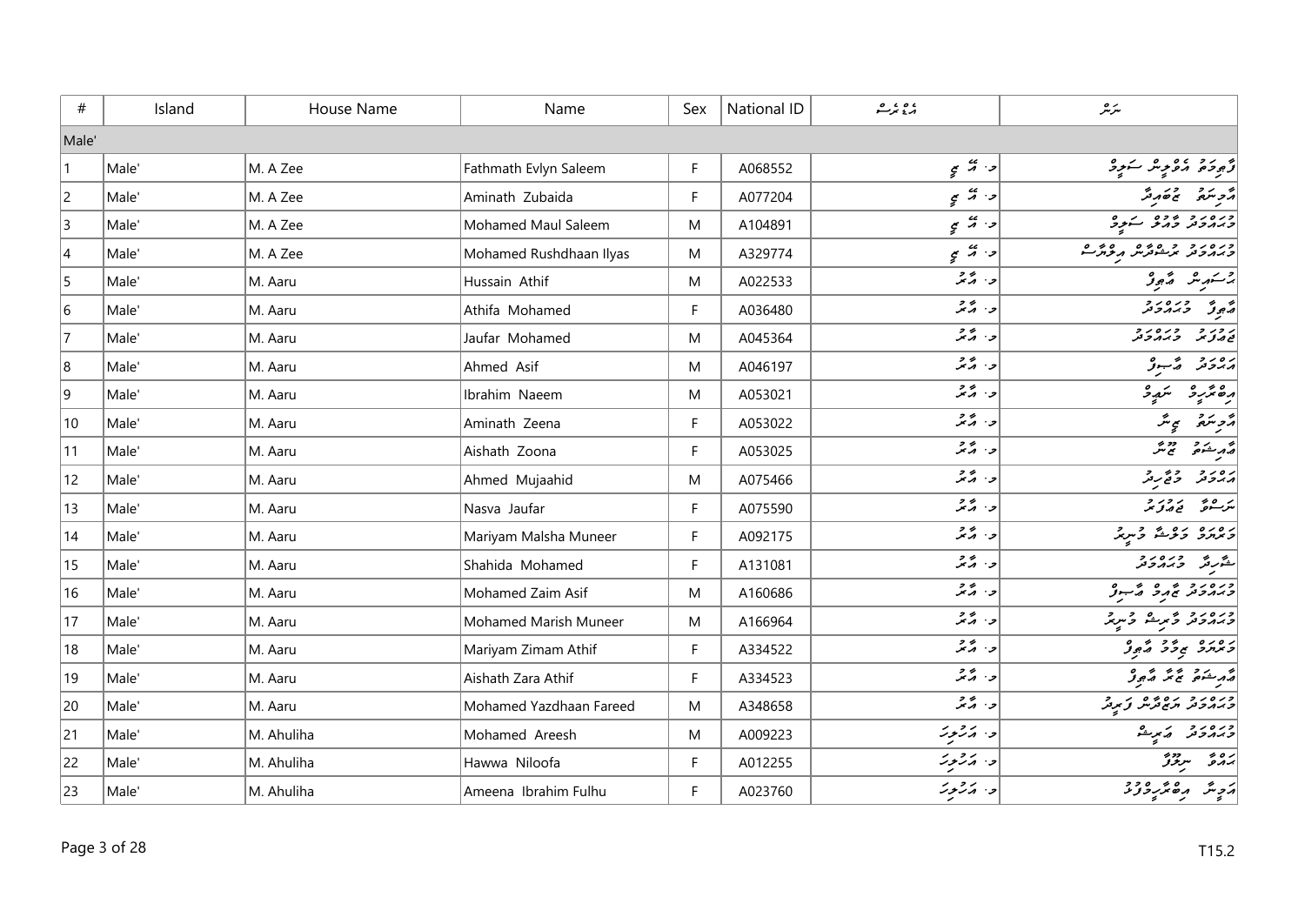| #               | Island | House Name | Name                    | Sex       | National ID | ، ه ، بر <u>م</u> | ىئرىتر                                                                                                                                             |
|-----------------|--------|------------|-------------------------|-----------|-------------|-------------------|----------------------------------------------------------------------------------------------------------------------------------------------------|
| Male'           |        |            |                         |           |             |                   |                                                                                                                                                    |
| $\vert$ 1       | Male'  | M. A Zee   | Fathmath Evlyn Saleem   | F         | A068552     | د. کې مې          | ژ <sub>ج</sub> وده موږیر <sub>سک</sub> ږو                                                                                                          |
| 2               | Male'  | M. A Zee   | Aminath Zubaida         | F         | A077204     | د. کې مح          | הביתם בסתת                                                                                                                                         |
| $\vert$ 3       | Male'  | M. A Zee   | Mohamed Maul Saleem     | M         | A104891     | اح بھی سمج        | ورەر د دوھ س <i>نو</i> ژ                                                                                                                           |
| $\overline{4}$  | Male'  | M. A Zee   | Mohamed Rushdhaan Ilyas | M         | A329774     | د. پی یم          | وره رو و مهندوگرمکر مرفرگرمند<br>و برمروتر مرتشوگرمکر مرفرگرمند                                                                                    |
| $\overline{5}$  | Male'  | M. Aaru    | Hussain Athif           | ${\sf M}$ | A022533     | د . د څم          | جەسىر شەھ ئە                                                                                                                                       |
| $\vert 6 \vert$ | Male'  | M. Aaru    | Athifa Mohamed          | F         | A036480     | و به مجموعه       | و وره در د                                                                                                                                         |
| $\vert$ 7       | Male'  | M. Aaru    | Jaufar Mohamed          | ${\sf M}$ | A045364     | و . پژيز          | ر ور و دره در<br>بحەنو پر برگرونر                                                                                                                  |
| 8               | Male'  | M. Aaru    | Ahmed Asif              | ${\sf M}$ | A046197     | د . د چر          | أرەر د ئەبدۇ                                                                                                                                       |
| 9               | Male'  | M. Aaru    | Ibrahim Naeem           | M         | A053021     | د . د څم          |                                                                                                                                                    |
| 10              | Male'  | M. Aaru    | Aminath Zeena           | F         | A053022     | د . مرگر          | ر<br>مرد سمي <sup>2</sup> سمي ش                                                                                                                    |
| 11              | Male'  | M. Aaru    | Aishath Zoona           | F         | A053025     | د . د څم          | و در در در در در در در برای کند.<br>مراسم سال می کند که برای کند و برای کند و برای کند و برای کند و برای کند و برای کند و برای کند و برای کند و بر |
| 12              | Male'  | M. Aaru    | Ahmed Mujaahid          | ${\sf M}$ | A075466     | و . د مجمو        | رەرو وەرو                                                                                                                                          |
| 13              | Male'  | M. Aaru    | Nasva Jaufar            | F         | A075590     | د . د څم          | ا در ۱۶ در در در در در ا                                                                                                                           |
| 14              | Male'  | M. Aaru    | Mariyam Malsha Muneer   | F         | A092175     | و . مرتبر         | ו סום ום יי כתיב.<br>בזנוג בביי בתז                                                                                                                |
| 15              | Male'  | M. Aaru    | Shahida Mohamed         | F         | A131081     | د . د چر          | أشريكر وره رو                                                                                                                                      |
| 16              | Male'  | M. Aaru    | Mohamed Zaim Asif       | M         | A160686     | والمتمخر          | כנסגב בי פי הייתר                                                                                                                                  |
| 17              | Male'  | M. Aaru    | Mohamed Marish Muneer   | M         | A166964     | د . د چر          | ورورو كريك وتريد                                                                                                                                   |
| 18              | Male'  | M. Aaru    | Mariyam Zimam Athif     | F         | A334522     | د برگر            | בימת ביבל האתר                                                                                                                                     |
| 19              | Male'  | M. Aaru    | Aishath Zara Athif      | F         | A334523     | د . د چر          | مەر شىم ئەتر مەبور                                                                                                                                 |
| 20              | Male'  | M. Aaru    | Mohamed Yazdhaan Fareed | M         | A348658     | د برگر            | כנסגב גם בס צ'תב                                                                                                                                   |
| 21              | Male'  | M. Ahuliha | Mohamed Areesh          | M         | A009223     | ە ئەرتىرىز        | وره رو در پرده                                                                                                                                     |
| 22              | Male'  | M. Ahuliha | Hawwa Niloofa           | F         | A012255     | او، مُرْکورَ      | برە ئەسروسى                                                                                                                                        |
| 23              | Male'  | M. Ahuliha | Ameena Ibrahim Fulhu    | F         | A023760     | ە ئەرتىرىز        | ړې په ره پرېږد                                                                                                                                     |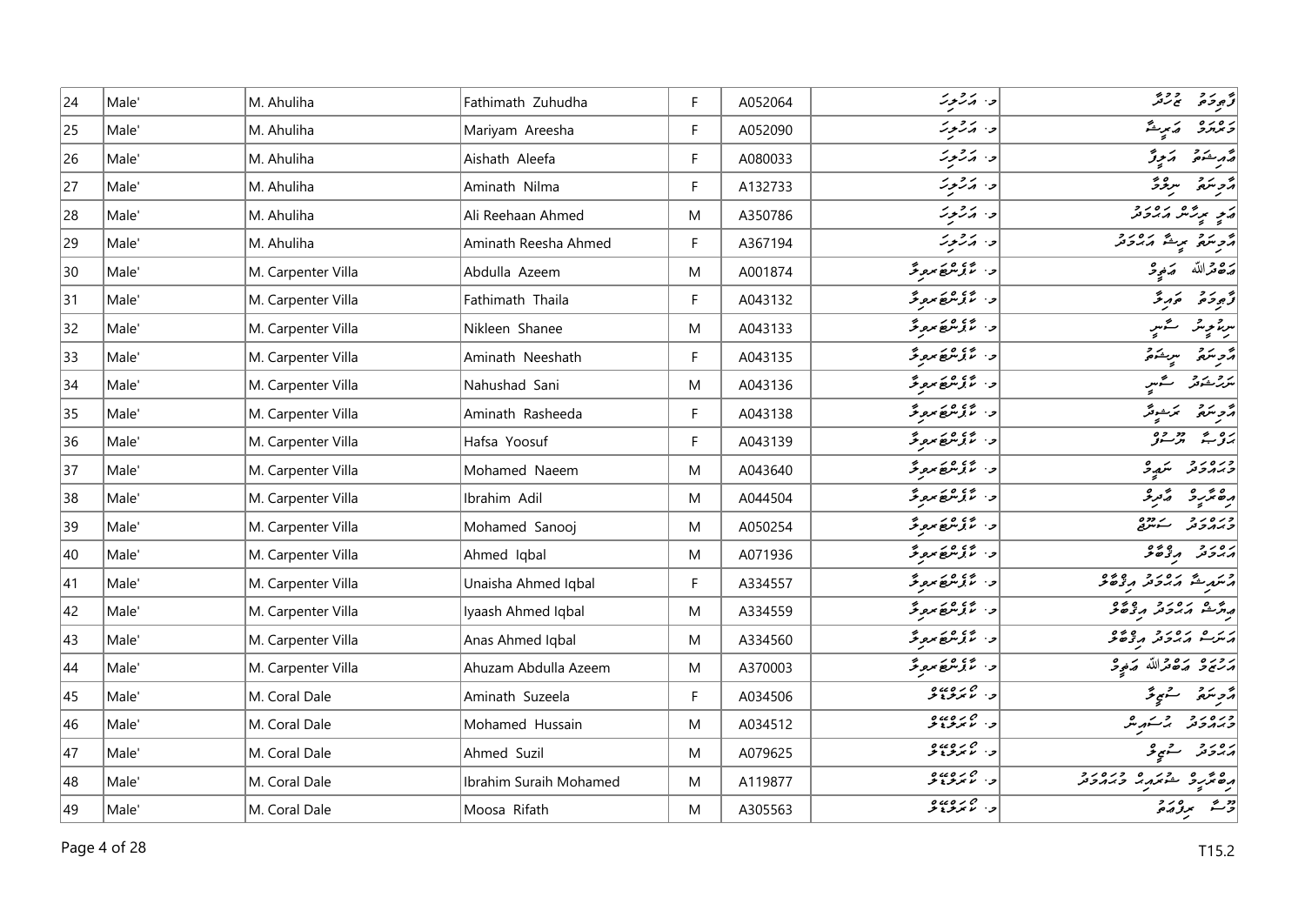| 24 | Male' | M. Ahuliha         | Fathimath Zuhudha      | F         | A052064 | ە . ئەركىز                                                 | وَّجْعِدَهُ بِمَرْتَدُ                   |
|----|-------|--------------------|------------------------|-----------|---------|------------------------------------------------------------|------------------------------------------|
| 25 | Male' | M. Ahuliha         | Mariyam Areesha        | F         | A052090 | ە ئەزىرىز                                                  | د ۱۵ د صر د محمد پر                      |
| 26 | Male' | M. Ahuliha         | Aishath Aleefa         | F         | A080033 | ە ئەزىرىز                                                  | ە ئەستەم كەمرىق                          |
| 27 | Male' | M. Ahuliha         | Aminath Nilma          | F         | A132733 | وسترتروتر                                                  | سربرگر<br>ړګر سرچ                        |
| 28 | Male' | M. Ahuliha         | Ali Reehaan Ahmed      | ${\sf M}$ | A350786 | ە ئەزىرىز                                                  | ړې پر په ډېرونر                          |
| 29 | Male' | M. Ahuliha         | Aminath Reesha Ahmed   | F         | A367194 | ە سەرتىرىز                                                 | ה<br>הכיתה יקייל המכת                    |
| 30 | Male' | M. Carpenter Villa | Abdulla Azeem          | M         | A001874 | د . ئۇن <sub>ز</sub> تەھ ئىرە ئ <sup>ۇ</sup>               | پر ۱۳۵۵ پر موگر                          |
| 31 | Male' | M. Carpenter Villa | Fathimath Thaila       | F         | A043132 | ح <sup>.</sup> ئىڭ <sub>م</sub> ۇشھۇمبوڭە                  | وَجودَة وَرِدَّ                          |
| 32 | Male' | M. Carpenter Villa | Nikleen Shanee         | M         | A043133 | د . ئۇ ئ <sub>ى</sub> ر ئەھ بىرە ئى                        | سرنڈ پر سگانیں<br>پر اپنے م              |
| 33 | Male' | M. Carpenter Villa | Aminath Neeshath       | F         | A043135 | - ئۇرمۇمروڭر                                               | ړ ځې سرچ<br>سریشرو<br>پ <sup>ر</sup>     |
| 34 | Male' | M. Carpenter Villa | Nahushad Sani          | M         | A043136 | - ئۇرلىق بىر <i>و</i> ئى                                   | <i>ىر 3 مەڭ بەر</i>                      |
| 35 | Male' | M. Carpenter Villa | Aminath Rasheeda       | F         | A043138 | د ، ئۇزىر <sub>ى</sub> غ برەڭر                             | أرمز وسره<br>ىمە <sup>ر</sup> شەقە       |
| 36 | Male' | M. Carpenter Villa | Hafsa Yoosuf           | F         | A043139 | ر ، ئەزگىرى <i>غ بىرە</i> ئ                                | پرویجہ<br>دد حرو                         |
| 37 | Male' | M. Carpenter Villa | Mohamed Naeem          | ${\sf M}$ | A043640 | د . ئۇن <sub>ز</sub> تەھ ئىرە ئ <sup>ۇ</sup>               | ورەر ئىمەد                               |
| 38 | Male' | M. Carpenter Villa | Ibrahim Adil           | M         | A044504 | ر ، ئەزگىرى <i>غ بىرە</i> ئ                                | رە ئرىر ئىرگى                            |
| 39 | Male' | M. Carpenter Villa | Mohamed Sanooj         | ${\sf M}$ | A050254 | د <sub>:</sub> ئۇن <sub>دى</sub> قە <sub>موق</sub> ۇ       | و ر ه ر و<br><i>و پر ډ</i> وتر<br>سەمبرى |
| 40 | Male' | M. Carpenter Villa | Ahmed Iqbal            | M         | A071936 | ر ، ئەزگىرى <i>غ بىرە</i> ئ                                | رەرد ھەھ                                 |
| 41 | Male' | M. Carpenter Villa | Unaisha Ahmed Iqbal    | F         | A334557 | د ، ئۇزى <i>رىغ برە</i> ئ                                  | أوسمد يشامر والمحفظ                      |
| 42 | Male' | M. Carpenter Villa | Iyaash Ahmed Iqbal     | M         | A334559 | <sub>د</sub> . ئۇن <sub>ى</sub> رى بىرو ئى                 | ويرت مددور ودهو                          |
| 43 | Male' | M. Carpenter Villa | Anas Ahmed Iqbal       | M         | A334560 | <sub>ى</sub> ، ئ <sub>ە</sub> ئۇنترى بىرە ئ <sup>ى</sup> ر | ړ شر مه بره د په د د کار                 |
| 44 | Male' | M. Carpenter Villa | Ahuzam Abdulla Azeem   | M         | A370003 | ر ، ئەزگىرى <i>غ بىرە</i> ئ                                | برويره بره قرالله برموع                  |
| 45 | Male' | M. Coral Dale      | Aminath Suzeela        | F         | A034506 | ە رەپپە <i>ھ</i>                                           | أرزج المستقلح ومحر                       |
| 46 | Male' | M. Coral Dale      | Mohamed Hussain        | M         | A034512 | ەرەپ <sub>ە</sub> ە<br>جەن مەيرى بىرى                      | ورەرو قريبهرس                            |
| 47 | Male' | M. Coral Dale      | Ahmed Suzil            | M         | A079625 | ە رەپرە<br>د گلىمى دى                                      | رەر دېر كە                               |
| 48 | Male' | M. Coral Dale      | Ibrahim Suraih Mohamed | M         | A119877 | ە رەپرە<br>د گلېمبرد د                                     | رەپرىو شىرىدە دىمەدد                     |
| 49 | Male' | M. Coral Dale      | Moosa Rifath           | ${\sf M}$ | A305563 | ە رەپرە<br>دې مىرچى بى                                     | در معروره و                              |
|    |       |                    |                        |           |         |                                                            |                                          |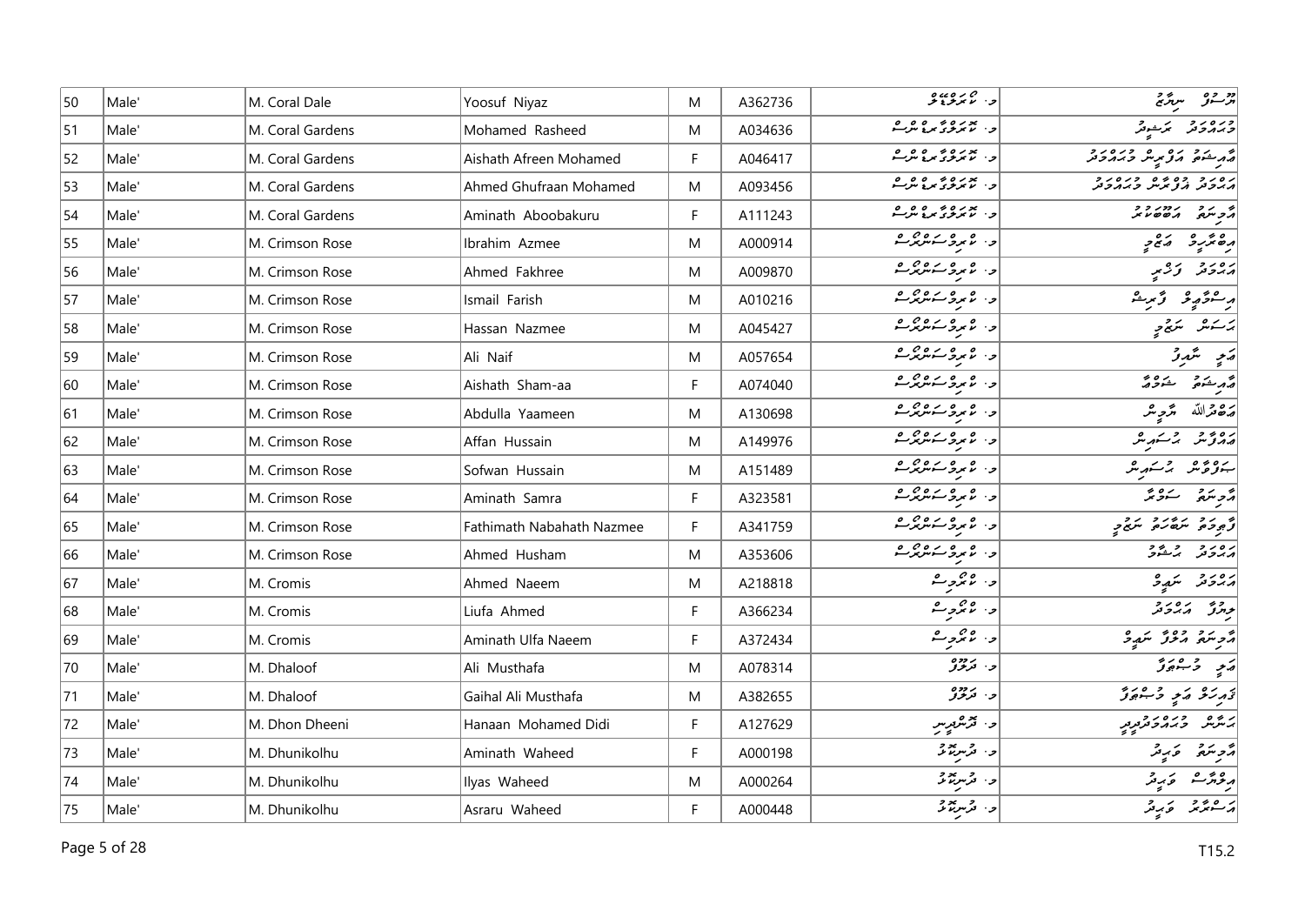| 50 | Male' | M. Coral Dale    | Yoosuf Niyaz              | M           | A362736 | ەرەپ <sub>ە</sub> ە<br>دې ئابىرى بىرى           | در حرم<br>مرت<br>سرگرمج                     |
|----|-------|------------------|---------------------------|-------------|---------|-------------------------------------------------|---------------------------------------------|
| 51 | Male' | M. Coral Gardens | Mohamed Rasheed           | M           | A034636 | د . برره د مه ه ه ه ه                           | ورەرو كەشپەر                                |
| 52 | Male' | M. Coral Gardens | Aishath Afreen Mohamed    | $\mathsf F$ | A046417 | د . سره ده ده مه ده مرک                         | و مشهور ده مرد در در د                      |
| 53 | Male' | M. Coral Gardens | Ahmed Ghufraan Mohamed    | M           | A093456 | ى ئىمىزە ئەرەپىيە بىر<br>مەنزىيەت ئىر           | ג סג כ כ ס ש ס כג סג כ<br>הגבת הציגית בגהבת |
| 54 | Male' | M. Coral Gardens | Aminath Aboobakuru        | F           | A111243 | د . سره د مه ه ه ه ه                            | 77777<br>أرمر برد                           |
| 55 | Male' | M. Crimson Rose  | Ibrahim Azmee             | M           | A000914 | د . ، ، ، و س <i>مبره م</i>                     | رە ئۈر ئەينى ئ                              |
| 56 | Male' | M. Crimson Rose  | Ahmed Fakhree             | M           | A009870 | ە ، ئابرۇ سەيرىر شە                             | رەرد زەبر                                   |
| 57 | Male' | M. Crimson Rose  | Ismail Farish             | M           | A010216 | ى ئ <sub>ى</sub> رى ئەبەر ئە                    | راعترر ومحرا                                |
| 58 | Male' | M. Crimson Rose  | Hassan Nazmee             | M           | A045427 | ى ئامرۇسەترىرگ                                  | بر کے مگر مگرم کے لیے ک                     |
| 59 | Male' | M. Crimson Rose  | Ali Naif                  | M           | A057654 | <sub>ج</sub> . ، م <sub>عر</sub> و سەمدىرى<br>ئ | أەنىي سىمبرق                                |
| 60 | Male' | M. Crimson Rose  | Aishath Sham-aa           | F           | A074040 | د. ئۇيرۇسكەترىرگ                                | مەرشىق شەھ ئ                                |
| 61 | Male' | M. Crimson Rose  | Abdulla Yaameen           | M           | A130698 | و. ئۇبرۇسكىرىگە                                 | رە داللە مۇجەمىر                            |
| 62 | Male' | M. Crimson Rose  | Affan Hussain             | M           | A149976 | و ، ما برو سەمەر يە                             | رەپى برگىدىكە                               |
| 63 | Male' | M. Crimson Rose  | Sofwan Hussain            | M           | A151489 | ە ، ئابرۇ سەيرىرگ                               | بەرەپ بۇ بەسىرىش                            |
| 64 | Male' | M. Crimson Rose  | Aminath Samra             | F           | A323581 | د. ئامرۇسەترىرگ                                 | ړ ده کردنو                                  |
| 65 | Male' | M. Crimson Rose  | Fathimath Nabahath Nazmee | F           | A341759 | و ، ئامرۇ سەمرىرى                               | و و دو دوره مردم                            |
| 66 | Male' | M. Crimson Rose  | Ahmed Husham              | M           | A353606 | و٠ لامروكسوروموك                                | رەر دېر                                     |
| 67 | Male' | M. Cromis        | Ahmed Naeem               | M           | A218818 | - عوجر م<br>احن عوجر م                          | رەر سەر                                     |
| 68 | Male' | M. Cromis        | Liufa Ahmed               | F           | A366234 | د ، م <sub>و</sub> جور <u>م</u>                 | ويزنق كدورو                                 |
| 69 | Male' | M. Cromis        | Aminath Ulfa Naeem        | F           | A372434 | د. عوجره                                        | أزجر أوقر والملاحق                          |
| 70 | Male' | M. Dhaloof       | Ali Musthafa              | M           | A078314 | و . تروه و                                      | أته ومبهور                                  |
| 71 | Male' | M. Dhaloof       | Gaihal Ali Musthafa       | M           | A382655 | و . تروه و                                      | تمرتك كمي ومبنيو                            |
| 72 | Male' | M. Dhon Dheeni   | Hanaan Mohamed Didi       | F           | A127629 | —<br> ح. قرير فيرينز                            | ریده دره روبربر                             |
| 73 | Male' | M. Dhunikolhu    | Aminath Waheed            | F           | A000198 | د . فرسر پور                                    | أأروبتكم وكرقر                              |
| 74 | Male' | M. Dhunikolhu    | Ilyas Waheed              | M           | A000264 | د . ترسر پور                                    | برقدشت الأبرقر                              |
| 75 | Male' | M. Dhunikolhu    | Asraru Waheed             | F           | A000448 | د . ترسر پور                                    | ەسىمى ئەرە                                  |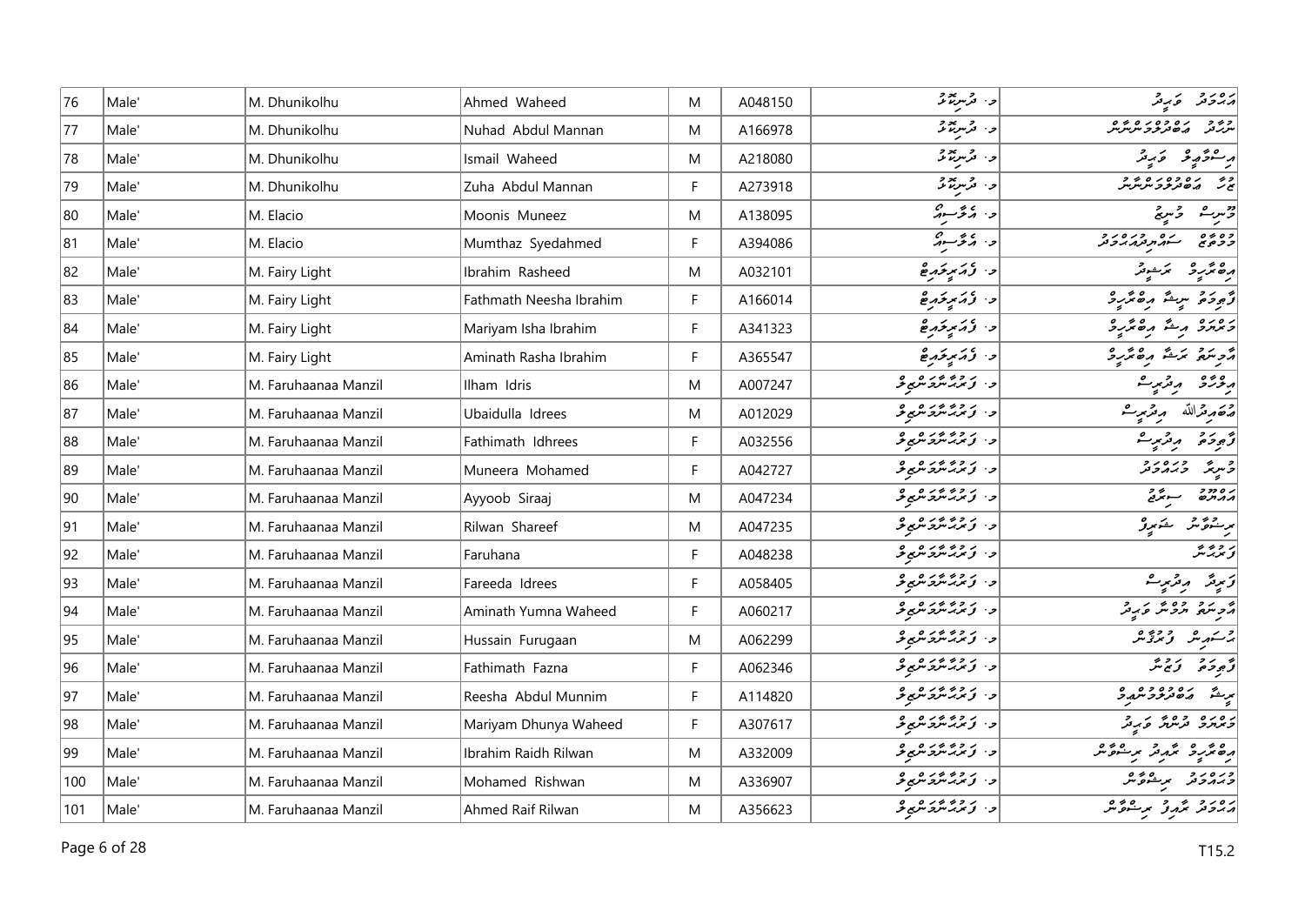| 76           | Male' | M. Dhunikolhu        | Ahmed Waheed            | M         | A048150 | و . قرسر <i>ین</i> و                                                | أرەر ئەر ئەر                                                 |
|--------------|-------|----------------------|-------------------------|-----------|---------|---------------------------------------------------------------------|--------------------------------------------------------------|
| 77           | Male' | M. Dhunikolhu        | Nuhad Abdul Mannan      | M         | A166978 | و . قرسر <i>ین</i> و                                                | ر ه د وه ر ه رو و.<br>پره تر تر تر سرس<br>و بر و<br>سربر تعر |
| 78           | Male' | M. Dhunikolhu        | Ismail Waheed           | M         | A218080 | د . فرس <i>ریند</i> و                                               | ر شۇرپۇ كەيد                                                 |
| 79           | Male' | M. Dhunikolhu        | Zuha Abdul Mannan       | F         | A273918 | و . قرمبرند و                                                       | د ده ده ده ده در در در در د                                  |
| 80           | Male' | M. Elacio            | Moonis Muneez           | M         | A138095 | د . مۇسىر                                                           | دو سرے<br>ح<br>د سرچ<br>حرم                                  |
| 81           | Male' | M. Elacio            | Mumthaz Syedahmed       | F         | A394086 | د . گرڅر په په                                                      | ره دره رد<br>سهرمرمربروتر<br>و ه و ه<br><b>تر</b> تر بح      |
| 82           | Male' | M. Fairy Light       | Ibrahim Rasheed         | M         | A032101 | د . ژو پرېژو ه                                                      | رە ئرىر ئىسىمى ئىشىمى                                        |
| 83           | Male' | M. Fairy Light       | Fathmath Neesha Ibrahim | F         | A166014 | و . ۇم ئېر ئەرق                                                     | ژوده سیت موسر                                                |
| 84           | Male' | M. Fairy Light       | Mariyam Isha Ibrahim    | F         | A341323 | و· دُمَ بِرِ دَمرِ هِ                                               | دورو مش مقتربة                                               |
| 85           | Male' | M. Fairy Light       | Aminath Rasha Ibrahim   | F         | A365547 | و· ۇم ئېر ئەرقى                                                     | أأدبتهم ترك وكالأبرد                                         |
| 86           | Male' | M. Faruhaanaa Manzil | Ilham Idris             | M         | A007247 | ى ئەرەپ ئەر ئا <sub>ھە</sub> ئە                                     | أروريو أروميت                                                |
| 87           | Male' | M. Faruhaanaa Manzil | Ubaidulla Idrees        | M         | A012029 | د . ز د پر پر پر پر پر و                                            | جرى مەتراللە<br>ەر قرىمەت                                    |
| 88           | Male' | M. Faruhaanaa Manzil | Fathimath Idhrees       | F         | A032556 | د· ئۇنىرگىنگەنگەنلىرى ئى                                            | توجوجو التربيث                                               |
| 89           | Male' | M. Faruhaanaa Manzil | Muneera Mohamed         | F         | A042727 | د· ئۇ <i>ئەرگەنگەنگەنلى</i> بى                                      | 1 مېرىتر<br>س<br>و ره ر د<br><i>د ب</i> رگرفر                |
| $ 90\rangle$ | Male' | M. Faruhaanaa Manzil | Ayyoob Siraaj           | M         | A047234 | د . ئ <i>ۇ برېڭ بىر قرى</i> رى<br>مەنب <i>ى بىر بىر بىر قىرى</i> رى | ג ם בב ב<br>ההתיים<br>سىدىگە 2                               |
| 91           | Male' | M. Faruhaanaa Manzil | Rilwan Shareef          | M         | A047235 | د· ئۇنىرگىنگەنگەنلىرى ئى                                            | مرینے ویکھیں<br> <br>شەمرىر                                  |
| 92           | Male' | M. Faruhaanaa Manzil | Faruhana                | F         | A048238 | ى ئۆتۈرگە ئەرەپ تە                                                  | ۇ ئەير ئىر                                                   |
| 93           | Male' | M. Faruhaanaa Manzil | Fareeda Idrees          | F         | A058405 |                                                                     | ترىپىد مەرىپە                                                |
| 94           | Male' | M. Faruhaanaa Manzil | Aminath Yumna Waheed    | F         | A060217 | ى ئ <i>ۇترىگىز شى</i> رىگى                                          | أمر منهم المرحم المرحم المحدود                               |
| 95           | Male' | M. Faruhaanaa Manzil | Hussain Furugaan        | M         | A062299 | و . ۇ ئەر ئەترىرى ئو                                                | برستهرش وحرقاش                                               |
| 96           | Male' | M. Faruhaanaa Manzil | Fathimath Fazna         | F         | A062346 | د· ئۇ <i>ئەرگەنگەنگەنلى</i> بى                                      | قَەدە ئەت                                                    |
| 97           | Male' | M. Faruhaanaa Manzil | Reesha Abdul Munnim     | F         | A114820 | د . ئ <i>ۇ برېڭ بىر قرى</i> رى<br>مەنب <i>ى بىر بىر بىر قىرى</i> رى | برے رہ دہ دہ د                                               |
| 98           | Male' | M. Faruhaanaa Manzil | Mariyam Dhunya Waheed   | F         | A307617 | ى ئەرەپ ئەر ئەر ئارىيە ئى                                           | رەرە دەپر رو                                                 |
| 99           | Male' | M. Faruhaanaa Manzil | Ibrahim Raidh Rilwan    | ${\sf M}$ | A332009 | ى ئەرەپ ئەر ھەج ت <mark>ى</mark>                                    | رە ئەرە ئەرىر برخۇش                                          |
| 100          | Male' | M. Faruhaanaa Manzil | Mohamed Rishwan         | M         | A336907 | د . ز <i>د بر ب</i> ر تر تریم تر                                    | ورەرو بريە دەر                                               |
| 101          | Male' | M. Faruhaanaa Manzil | Ahmed Raif Rilwan       | ${\sf M}$ | A356623 | ى ئەچمە ئەرەپ ئى                                                    | رەرد ئۇرۇ برخۇش                                              |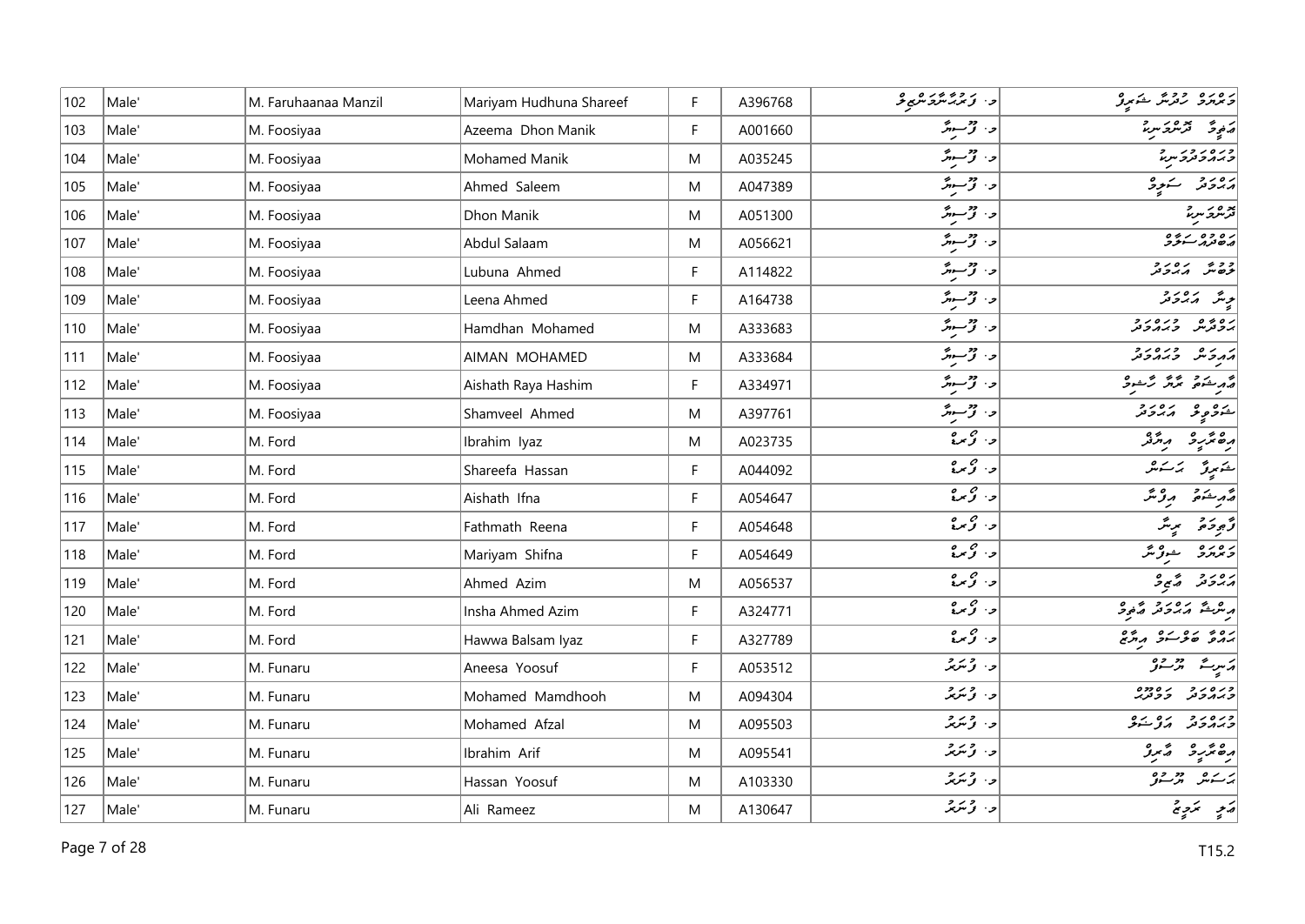| 102 | Male' | M. Faruhaanaa Manzil | Mariyam Hudhuna Shareef | F.          | A396768 | د. زىرتەشرىشى بى                | د وره د در پر شکاید و                                                                                                                                                                                                            |
|-----|-------|----------------------|-------------------------|-------------|---------|---------------------------------|----------------------------------------------------------------------------------------------------------------------------------------------------------------------------------------------------------------------------------|
| 103 | Male' | M. Foosiyaa          | Azeema Dhon Manik       | $\mathsf F$ | A001660 | ح : تو <sup>م</sup> سورگر<br>مر | أركفي ومحمد المحمد المحمد المحمد                                                                                                                                                                                                 |
| 104 | Male' | M. Foosiyaa          | Mohamed Manik           | M           | A035245 | د . تۇسىيىگە                    | وره رور سرد                                                                                                                                                                                                                      |
| 105 | Male' | M. Foosiyaa          | Ahmed Saleem            | M           | A047389 | در محرسه پی                     | ړه رو شوو                                                                                                                                                                                                                        |
| 106 | Male' | M. Foosiyaa          | Dhon Manik              | M           | A051300 | د : تۇسىيەگە                    | بر مریز سریز<br>مرسر سریز                                                                                                                                                                                                        |
| 107 | Male' | M. Foosiyaa          | Abdul Salaam            | M           | A056621 | د : تۆسىن <i>ى</i> ر            | رە دە بەرە<br>مەھىرە سىۋى                                                                                                                                                                                                        |
| 108 | Male' | M. Foosiyaa          | Lubuna Ahmed            | $\mathsf F$ | A114822 | ح : تۇسىيەتر<br>س               | ووير برەرد                                                                                                                                                                                                                       |
| 109 | Male' | M. Foosiyaa          | Leena Ahmed             | F           | A164738 | د : تو <sup>م</sup> سورگر       | جه شهر از جر                                                                                                                                                                                                                     |
| 110 | Male' | M. Foosiyaa          | Hamdhan Mohamed         | M           | A333683 | د : تۇسىدۇ                      | رەپە درەرد<br>بروترس <i>وب</i> ەروتر                                                                                                                                                                                             |
| 111 | Male' | M. Foosiyaa          | AIMAN MOHAMED           | M           | A333684 | اح، توسیع                       | أروكش ورورو                                                                                                                                                                                                                      |
| 112 | Male' | M. Foosiyaa          | Aishath Raya Hashim     | $\mathsf F$ | A334971 | <br> -<br>  محمد مسر            | ە ئەستىم ئىگر ئىشوق                                                                                                                                                                                                              |
| 113 | Male' | M. Foosiyaa          | Shamveel Ahmed          | M           | A397761 | ل - مح <sup>مد</sup> سودگر      | شكوه ومردور                                                                                                                                                                                                                      |
| 114 | Male' | M. Ford              | Ibrahim Iyaz            | M           | A023735 | ر و د نومه                      |                                                                                                                                                                                                                                  |
| 115 | Male' | M. Ford              | Shareefa Hassan         | $\mathsf F$ | A044092 | ى بۇ يى                         | أختامريح أيركت مكر                                                                                                                                                                                                               |
| 116 | Male' | M. Ford              | Aishath Ifna            | $\mathsf F$ | A054647 | د . د ګې په په                  | مەستىم بوقىتر                                                                                                                                                                                                                    |
| 117 | Male' | M. Ford              | Fathmath Reena          | $\mathsf F$ | A054648 | د . د ګوره                      | ۇۋۇۋۇ بېش                                                                                                                                                                                                                        |
| 118 | Male' | M. Ford              | Mariyam Shifna          | F.          | A054649 | ر ، ۇىر،                        | دەرە ھورىگە                                                                                                                                                                                                                      |
| 119 | Male' | M. Ford              | Ahmed Azim              | ${\sf M}$   | A056537 | د . پېړه                        | $\begin{array}{cc} 2 & 2 & 2 & 2 \\ 2 & 2 & 2 & 2 \end{array}$                                                                                                                                                                   |
| 120 | Male' | M. Ford              | Insha Ahmed Azim        | F           | A324771 | د . ۇىدى                        | د هرش در در در در در در در این در این در این در این در این در این در این در این در این در این در این در این دس<br>در این دست در این در این در این در این در این در این در این دستر دستر داشته در این دستر در این دستر در این دست |
| 121 | Male' | M. Ford              | Hawwa Balsam Iyaz       | F.          | A327789 | د . ۇىر،                        |                                                                                                                                                                                                                                  |
| 122 | Male' | M. Funaru            | Aneesa Yoosuf           | $\mathsf F$ | A053512 | والمتحر كمركز                   | اړس مشير ده ده وه<br>اوسيات                                                                                                                                                                                                      |
| 123 | Male' | M. Funaru            | Mohamed Mamdhooh        | M           | A094304 | د . ۇتىرىم                      | כנסנכ נסכבם<br><i>כג</i> ובט בכטג                                                                                                                                                                                                |
| 124 | Male' | M. Funaru            | Mohamed Afzal           | ${\sf M}$   | A095503 | ى ئۇنىرىم                       | ورەرو رەپ                                                                                                                                                                                                                        |
| 125 | Male' | M. Funaru            | Ibrahim Arif            | M           | A095541 | والمتح تتريم                    | وە ئۆر ئەيرۇ                                                                                                                                                                                                                     |
| 126 | Male' | M. Funaru            | Hassan Yoosuf           | M           | A103330 | د . ۇتىرىم                      | برسەنلە<br>دد وه<br>در سور                                                                                                                                                                                                       |
| 127 | Male' | M. Funaru            | Ali Rameez              | ${\sf M}$   | A130647 | و . تۇنىرىمە                    | أوسمج التمرج فتح                                                                                                                                                                                                                 |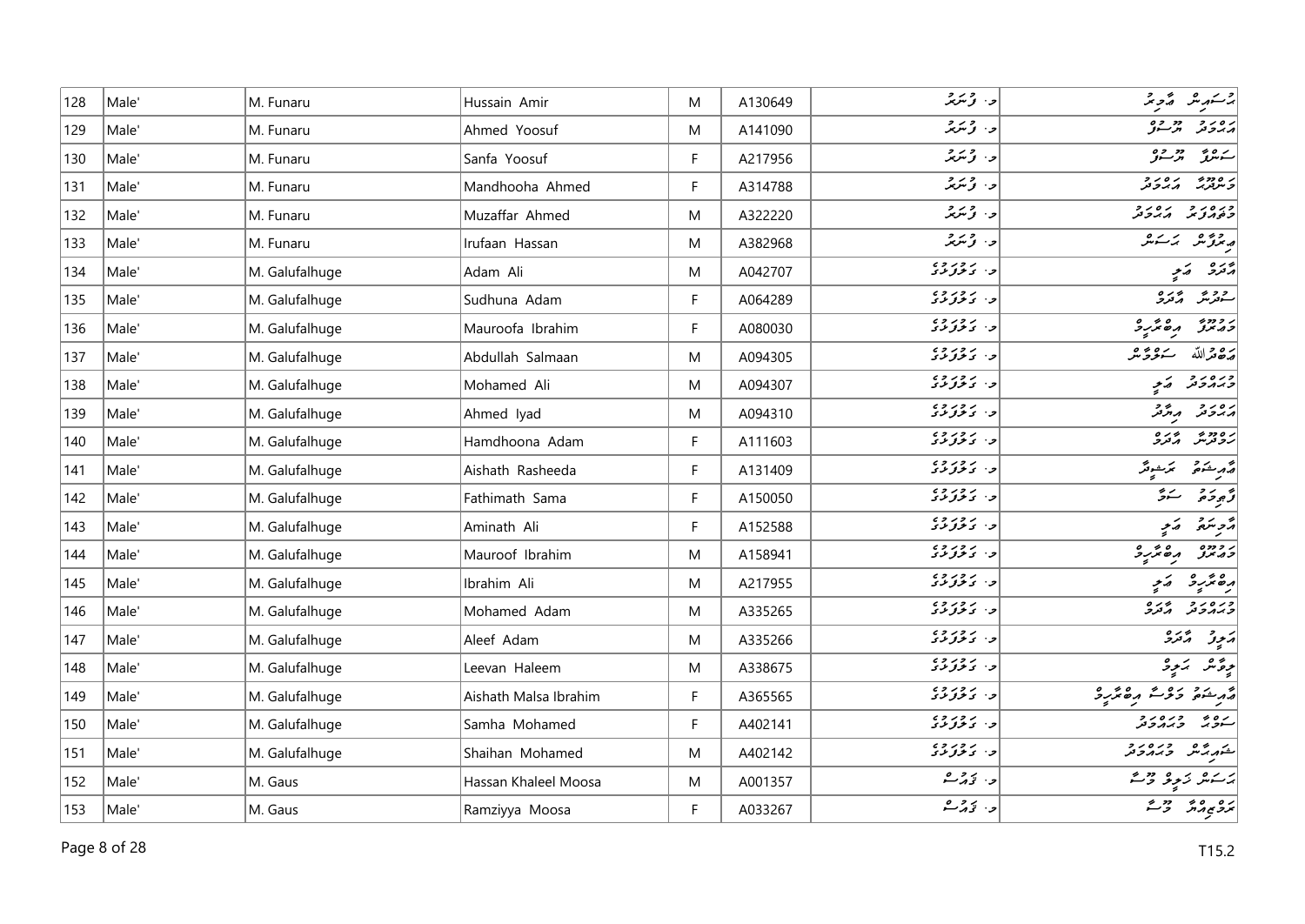| 128 | Male' | M. Funaru      | Hussain Amir          | M           | A130649 | ى ئۇنىرىم                      | برسكهر مركز بر                              |
|-----|-------|----------------|-----------------------|-------------|---------|--------------------------------|---------------------------------------------|
| 129 | Male' | M. Funaru      | Ahmed Yoosuf          | M           | A141090 | ى ئۇنىرىم                      | גם ג' מ' כם<br>הגבת הליינ                   |
| 130 | Male' | M. Funaru      | Sanfa Yoosuf          | F           | A217956 | ى ئۇنىرىم                      | سەمىر<br>دد وه<br>در سور                    |
| 131 | Male' | M. Funaru      | Mandhooha Ahmed       | F           | A314788 | ى - ۇىترىگە                    | י סמים מיטורי<br>המטילי המהבת               |
| 132 | Male' | M. Funaru      | Muzaffar Ahmed        | M           | A322220 | ى ئۇنىرىم                      | כנסני נסני<br>כס <i>בת ני הגב</i> ע         |
| 133 | Male' | M. Funaru      | Irufaan Hassan        | M           | A382968 | ى ئۇنىرىم                      | ەيدۇر ئەسكىر                                |
| 134 | Male' | M. Galufalhuge | Adam Ali              | M           | A042707 | ر وروه<br>و· ک <b>وت</b> رنوی  | أرترو كمني                                  |
| 135 | Male' | M. Galufalhuge | Sudhuna Adam          | $\mathsf F$ | A064289 | د<br>د گروگری                  | رووی په پره<br>سنترمتر پرترو                |
| 136 | Male' | M. Galufalhuge | Mauroofa Ibrahim      | F           | A080030 | و . کرورو .<br>و . کاموتونو ک  | ג ב בבי הם <i>יצ</i> ע כ                    |
| 137 | Male' | M. Galufalhuge | Abdullah Salmaan      | M           | A094305 | د و دوده<br>و ک <b>وتو</b> نوی | سەۋۋىتر<br>ەھىراللە                         |
| 138 | Male' | M. Galufalhuge | Mohamed Ali           | M           | A094307 | ر د درو،<br>د کوکوک            | ورەرو كەي                                   |
| 139 | Male' | M. Galufalhuge | Ahmed Iyad            | M           | A094310 | د د د د د د<br>د ا د توتونو د  | גם גדי היה.<br>הגבת היהת                    |
| 140 | Male' | M. Galufalhuge | Hamdhoona Adam        | F           | A111603 | د د دوده<br>و ک <b>وژ</b> نوی  | رەپىيە ئەرە<br>ئەخەتىر مەترى                |
| 141 | Male' | M. Galufalhuge | Aishath Rasheeda      | $\mathsf F$ | A131409 | و کا کاروه<br>و کا کارگ        | وكركو ترجو                                  |
| 142 | Male' | M. Galufalhuge | Fathimath Sama        | $\mathsf F$ | A150050 | ر د درو،<br>د کوگرگ            | ۇ بۇ ئەقتى ئىسكىتى كە                       |
| 143 | Male' | M. Galufalhuge | Aminath Ali           | F           | A152588 | و ۰ رورو تا<br>و ۰ کامونو ک    | أأترجع أأتمع                                |
| 144 | Male' | M. Galufalhuge | Mauroof Ibrahim       | M           | A158941 | و ۰ رورو تا<br>و ۰ روتونو تا   | ג כמינים הפיתיים                            |
| 145 | Male' | M. Galufalhuge | Ibrahim Ali           | M           | A217955 | د و دوده<br>و ک <b>وت</b> ونوی | رە ئۆر ئەير                                 |
| 146 | Male' | M. Galufalhuge | Mohamed Adam          | M           | A335265 | و کو وو و د<br>و کو موتو لو ی  | כנסנכ שנס                                   |
| 147 | Male' | M. Galufalhuge | Aleef Adam            | M           | A335266 | د د د د د د<br>و کارونوی       | پر ہ<br>مرکز ژ<br>ەئىرىق                    |
| 148 | Male' | M. Galufalhuge | Leevan Haleem         | M           | A338675 | د د د د د د<br>د ۰ کانونونوک   | و پروژ بروژ                                 |
| 149 | Male' | M. Galufalhuge | Aishath Malsa Ibrahim | F           | A365565 | ر وروء<br>و· ک <b>وؤ</b> نوی   | و دو ده د وه ده ندره<br>مارشنو ونرگ ده ندره |
| 150 | Male' | M. Galufalhuge | Samha Mohamed         | F           | A402141 | و ۰ رورو تا<br>و ۰ روتونو تا   | ستوبر ورەرد                                 |
| 151 | Male' | M. Galufalhuge | Shaihan Mohamed       | M           | A402142 | و ۰ رورو تا<br>و ۰ روتونو تا   | خرشه ورەرو                                  |
| 152 | Male' | M. Gaus        | Hassan Khaleel Moosa  | M           | A001357 | د کی چیک                       | يركبش تربي وحرقة                            |
| 153 | Male' | M. Gaus        | Ramziyya Moosa        | F           | A033267 | د کی چې ک                      | גם בי מי ב                                  |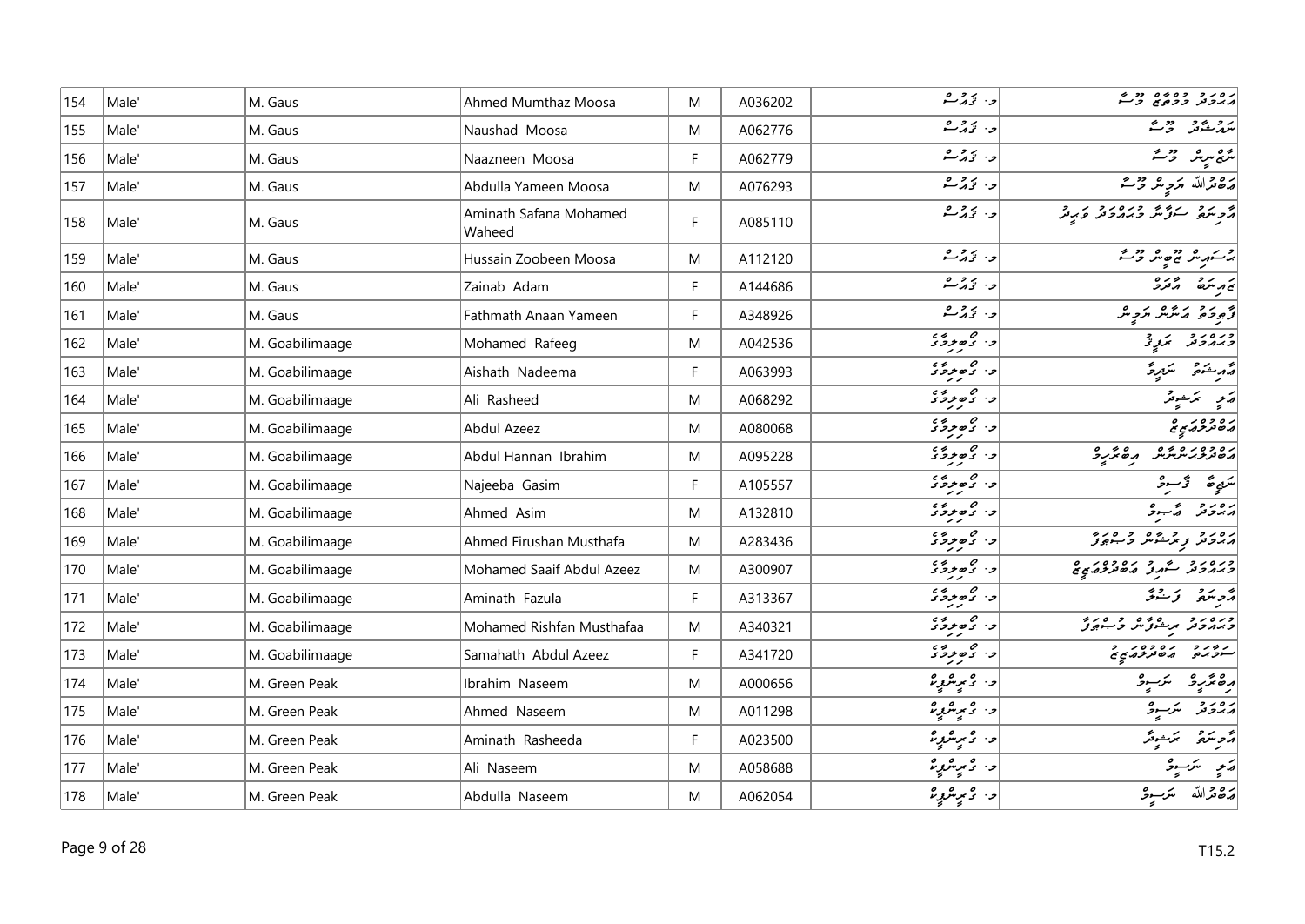| 154 | Male' | M. Gaus         | Ahmed Mumthaz Moosa              | M | A036202 | و به تړ کر ک                                        | ر ۲ در ۶ ده وړ ه<br>مدرونر وروم وگ                  |
|-----|-------|-----------------|----------------------------------|---|---------|-----------------------------------------------------|-----------------------------------------------------|
| 155 | Male' | M. Gaus         | Naushad Moosa                    | M | A062776 | و به تورگ                                           | سرد شو و دیگر                                       |
| 156 | Male' | M. Gaus         | Naazneen Moosa                   | F | A062779 | و به تورگ                                           | مرچ سر مراجع کے م                                   |
| 157 | Male' | M. Gaus         | Abdulla Yameen Moosa             | M | A076293 | د کوړ ک                                             | أرە قراللە مەر مەدم ئ                               |
| 158 | Male' | M. Gaus         | Aminath Safana Mohamed<br>Waheed | F | A085110 | و به تورگ                                           | ه دو دوه وره دو د و<br>مرد شي سوش د پر دو تر تر تر  |
| 159 | Male' | M. Gaus         | Hussain Zoobeen Moosa            | M | A112120 | د کارگر ه                                           | ج ڪرمر هي هم وحڪ                                    |
| 160 | Male' | M. Gaus         | Zainab Adam                      | F | A144686 | د گەرمىگە                                           | אבת ייתר בינים                                      |
| 161 | Male' | M. Gaus         | Fathmath Anaan Yameen            | F | A348926 | د کارم ش                                            | تقادر والمتكر المتحامل                              |
| 162 | Male' | M. Goabilimaage | Mohamed Rafeeg                   | M | A042536 | 55505.7                                             | و ده د د برو تر                                     |
| 163 | Male' | M. Goabilimaage | Aishath Nadeema                  | F | A063993 | 55505.5                                             | أوار مشكور المتحررة                                 |
| 164 | Male' | M. Goabilimaage | Ali Rasheed                      | M | A068292 | $rac{c}{s}$                                         | أركمني المركب وتر                                   |
| 165 | Male' | M. Goabilimaage | Abdul Azeez                      | M | A080068 | 59905.7                                             | ره <del>ده</del> د<br>اړه ترڅه پې مخ                |
| 166 | Male' | M. Goabilimaage | Abdul Hannan Ibrahim             | M | A095228 | $rac{c}{s}$ $rac{c}{s}$ $rac{c}{s}$ $rac{c}{s}$     | ره وه ره مور<br>م <i>ه ه ترو بر</i> سرسر<br>ەھ تررۈ |
| 167 | Male' | M. Goabilimaage | Najeeba Gasim                    | F | A105557 | 55505.5                                             | سَمِوٍ ھُن تَا وَ و                                 |
| 168 | Male' | M. Goabilimaage | Ahmed Asim                       | M | A132810 | $\frac{c}{c}$ , $\frac{c}{c}$ , $\frac{c}{c}$<br>12 | גם גב הביייב                                        |
| 169 | Male' | M. Goabilimaage | Ahmed Firushan Musthafa          | M | A283436 | $rac{c}{s}$ , $rac{c}{s}$ , $rac{c}{s}$             | رەر دې د عامل د ۱۵۰۰                                |
| 170 | Male' | M. Goabilimaage | Mohamed Saaif Abdul Azeez        | M | A300907 | 55503.5                                             | כנסגב המקד הסתיכת הם                                |
| 171 | Male' | M. Goabilimaage | Aminath Fazula                   | F | A313367 | 59905.7                                             | أأويتماه وكالشوش                                    |
| 172 | Male' | M. Goabilimaage | Mohamed Rishfan Musthafaa        | M | A340321 | 55505.5                                             | ورەر دېرىشوگىل كەسپەر<br>ئەيدى ئەسپەرگىل كەسپەرگ    |
| 173 | Male' | M. Goabilimaage | Samahath Abdul Azeez             | F | A341720 | 55505.5                                             | ر د د د ده ده د د د<br>سرگرمو ماه تر څرمنې مخ       |
| 174 | Male' | M. Green Peak   | Ibrahim Naseem                   | M | A000656 | د <sub>' كە</sub> يېرىئرى <sub>ي</sub> ر            | رە ئەر ئىسر                                         |
| 175 | Male' | M. Green Peak   | Ahmed Naseem                     | M | A011298 | د۰ د پرېنږيژ                                        |                                                     |
| 176 | Male' | M. Green Peak   | Aminath Rasheeda                 | F | A023500 | د۰ د پرېنږيژ                                        | أأترجم تكالموقر                                     |
| 177 | Male' | M. Green Peak   | Ali Naseem                       | M | A058688 | د گو پر شرو پر                                      | أرجمج الترسية وهجر                                  |
| 178 | Male' | M. Green Peak   | Abdulla Naseem                   | M | A062054 | د گی پر مربر ۵<br>د کی پر مربر ۹                    | رە قراللە سرىبو                                     |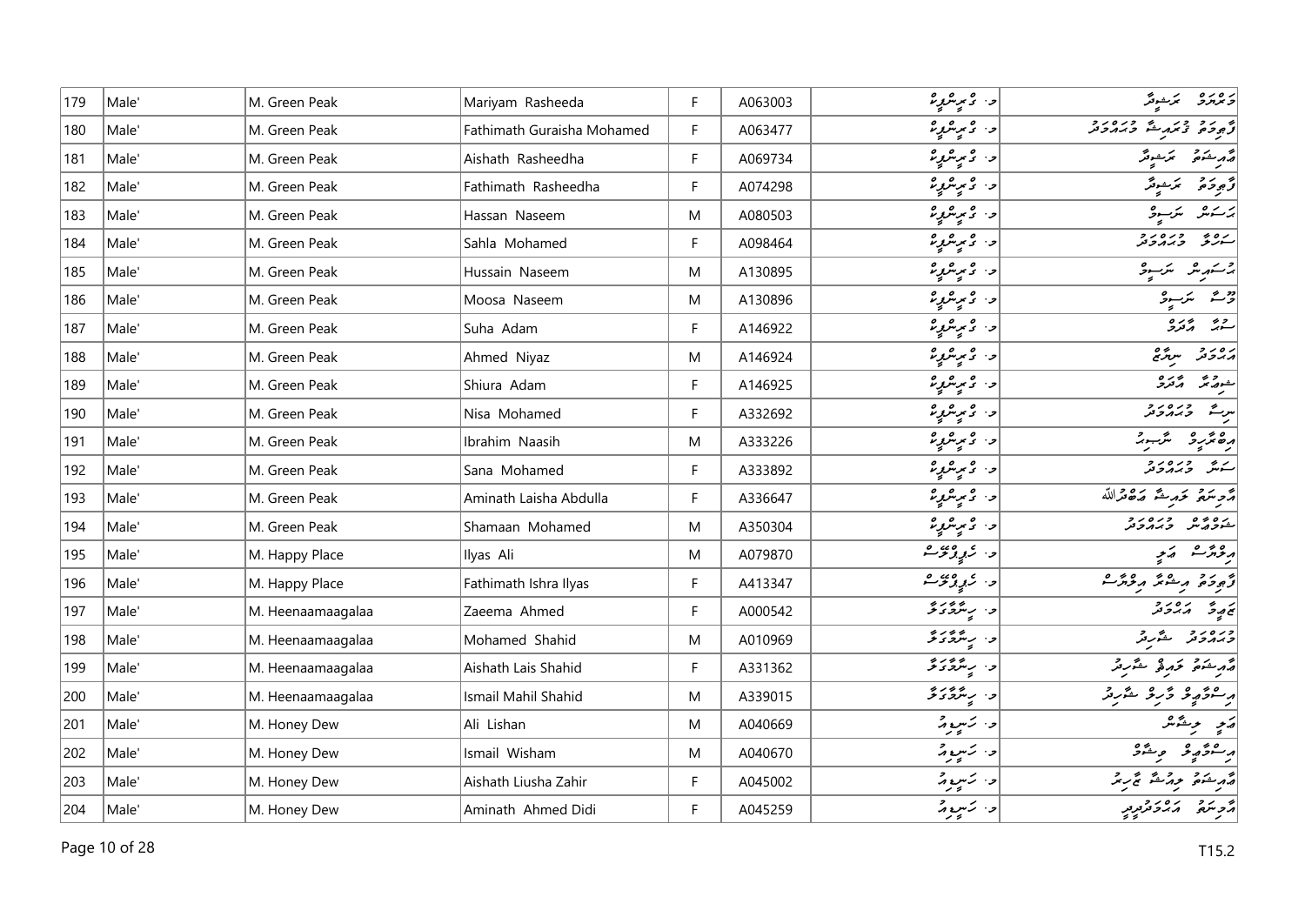| 179 | Male' | M. Green Peak     | Mariyam Rasheeda           | F           | A063003 |                                                     | رەرە كەشەنگە<br><i>دىمەير</i> ۇ كەش <sub>ە</sub> ن |
|-----|-------|-------------------|----------------------------|-------------|---------|-----------------------------------------------------|----------------------------------------------------|
| 180 | Male' | M. Green Peak     | Fathimath Guraisha Mohamed | F           | A063477 | د ، د بر عرو پر                                     | تحويج ويمريش وبرورد                                |
| 181 | Male' | M. Green Peak     | Aishath Rasheedha          | $\mathsf F$ | A069734 | د· دېمپروړه<br> د· دېمپروړه                         | مەر ئىكى ئىم ئىر                                   |
| 182 | Male' | M. Green Peak     | Fathimath Rasheedha        | F           | A074298 | د . د م <sub>ی</sub> سروی <sup>0</sup>              | قەر ئەسىر ئەسىر ئە                                 |
| 183 | Male' | M. Green Peak     | Hassan Naseem              | M           | A080503 | د . د مړينوره                                       | ىزىكىش بىرىسوۋ                                     |
| 184 | Male' | M. Green Peak     | Sahla Mohamed              | $\mathsf F$ | A098464 | د ، د بر عرو ه                                      | ر ور در در د                                       |
| 185 | Male' | M. Green Peak     | Hussain Naseem             | M           | A130895 | د. گوپرشرو په                                       | چەسىر سىر سىر سىر                                  |
| 186 | Male' | M. Green Peak     | Moosa Naseem               | M           | A130896 | د و مړينرو په                                       | وحرث الكرسوى                                       |
| 187 | Male' | M. Green Peak     | Suha Adam                  | F           | A146922 | $ \cdot $ د ، د مړيندي                              | رویو په دره                                        |
| 188 | Male' | M. Green Peak     | Ahmed Niyaz                | M           | A146924 | د۰ د پرېنږيژ                                        | پروژو<br>سرگرم                                     |
| 189 | Male' | M. Green Peak     | Shiura Adam                | F           | A146925 | - موسر<br>د گوسروره                                 | شەرچە كەترى                                        |
| 190 | Male' | M. Green Peak     | Nisa Mohamed               | F           | A332692 | د ، د پرېنږي                                        | و ره ر و<br>تر پر تر تر<br>سررمح                   |
| 191 | Male' | M. Green Peak     | Ibrahim Naasih             | M           | A333226 | د گو پر شرو پر                                      | ەر ھەتمەر 2<br>ب<br>مگرسبور                        |
| 192 | Male' | M. Green Peak     | Sana Mohamed               | $\mathsf F$ | A333892 | د. گوپرشرو په                                       | سەش دىرەرد                                         |
| 193 | Male' | M. Green Peak     | Aminath Laisha Abdulla     | F           | A336647 | د گو پر شرو پر                                      | أُمَّحِ سَمَّعَ مَرَّدَةً مَرَّدَةً لَهُ           |
| 194 | Male' | M. Green Peak     | Shamaan Mohamed            | M           | A350304 | <sub>و</sub> . ، د <sub>مو</sub> بر <sub>وړ</sub> ر | شوه مده دره د                                      |
| 195 | Male' | M. Happy Place    | Ilyas Ali                  | M           | A079870 | <sub>و</sub> . ژ <sub>بوپ</sub> ژبخرے               | برڅنگ ټرمو                                         |
| 196 | Male' | M. Happy Place    | Fathimath Ishra Ilyas      | F           | A413347 | <sub>و</sub> . ژ <sub>ېږ</sub> وی <sub>ځ</sub> ت    | ژُودو مشر مورم                                     |
| 197 | Male' | M. Heenaamaagalaa | Zaeema Ahmed               | F           | A000542 | <sub>ى: س</sub> ېرتىرى ئى                           | كتهوج متدحقر                                       |
| 198 | Male' | M. Heenaamaagalaa | Mohamed Shahid             | M           | A010969 | ار. رٍ پرَّدُورَ وَ                                 | ورەرو شەرقە                                        |
| 199 | Male' | M. Heenaamaagalaa | Aishath Lais Shahid        | F           | A331362 | ار. رېترېږيز                                        | وأوحده كروهي مشرور                                 |
| 200 | Male' | M. Heenaamaagalaa | Ismail Mahil Shahid        | M           | A339015 | <sub>ى: س</sub> ېتىۋەتم                             | وستوفي ومروسترير                                   |
| 201 | Male' | M. Honey Dew      | Ali Lishan                 | M           | A040669 | د . ئەسمىدە ج                                       | ړې وگړ                                             |
| 202 | Male' | M. Honey Dew      | Ismail Wisham              | M           | A040670 | د . ئەسىدە<br>ئىس                                   | ر جۇمۇھەم بۇ                                       |
| 203 | Male' | M. Honey Dew      | Aishath Liusha Zahir       | F           | A045002 | ه . ئەسىدە <u>.</u>                                 |                                                    |
| 204 | Male' | M. Honey Dew      | Aminath Ahmed Didi         | F           | A045259 | د . ئەس <sub>بە</sub> ر                             | أثر مرة المركز والمعرفير والمحمد المراجع           |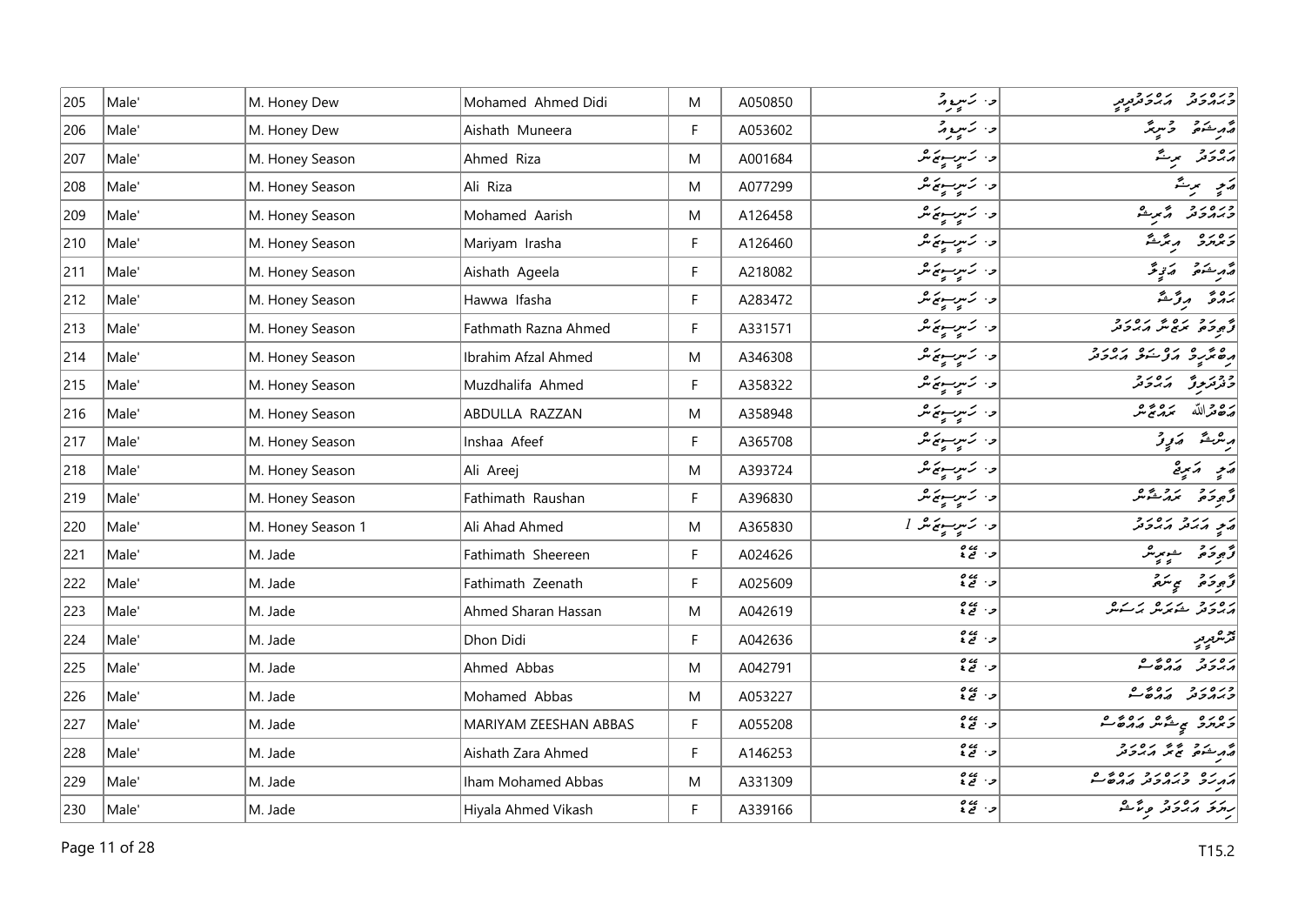| 205 | Male' | M. Honey Dew      | Mohamed Ahmed Didi    | M           | A050850 | د کېږد                                                              | ورەرو رەروپرىر<br>وبەمرونر مەركىرىرىر      |
|-----|-------|-------------------|-----------------------|-------------|---------|---------------------------------------------------------------------|--------------------------------------------|
| 206 | Male' | M. Honey Dew      | Aishath Muneera       | F           | A053602 | ه بر کېږدو کړ                                                       |                                            |
| 207 | Male' | M. Honey Season   | Ahmed Riza            | M           | A001684 | د . ر <sub>کس</sub> سونچ مگر                                        | رورد برنڈ                                  |
| 208 | Male' | M. Honey Season   | Ali Riza              | M           | A077299 | <sub>ج</sub> . کە س <sub>ى</sub> سىزىم مىگە                         | ړې برگ                                     |
| 209 | Male' | M. Honey Season   | Mohamed Aarish        | M           | A126458 | د . ر <sub>کس</sub> سونچ مگر                                        | ورەرو گەرگ                                 |
| 210 | Male' | M. Honey Season   | Mariyam Irasha        | $\mathsf F$ | A126460 | ى ئەسەسىيەتكەنگە<br>ئەسىسىيەت                                       | وبردو برترك                                |
| 211 | Male' | M. Honey Season   | Aishath Ageela        | F           | A218082 | <mark>ى، ئەسەب ئە</mark> ئىگە                                       | أصمر مشتور أستمي فحر                       |
| 212 | Male' | M. Honey Season   | Hawwa Ifasha          | F           | A283472 | حەس ئەسىسىدىنى ئىگە<br>ئىسىسى                                       | پروژ پروژے                                 |
| 213 | Male' | M. Honey Season   | Fathmath Razna Ahmed  | F.          | A331571 | د · ئەسەپ يەتكە تە                                                  | و در دره در در در د                        |
| 214 | Male' | M. Honey Season   | Ibrahim Afzal Ahmed   | M           | A346308 | د · ئەسپەسى مىگە                                                    | גە <i>ג'י</i> כ ג'נייב ג'יכנ               |
| 215 | Male' | M. Honey Season   | Muzdhalifa Ahmed      | F           | A358322 | د · ئەسەپ سى مىگە                                                   | د در د م د د د د<br>  د نډنډيز قسم پر د تر |
| 216 | Male' | M. Honey Season   | ABDULLA RAZZAN        | M           | A358948 | و ، ئەسەپ سى مىگە                                                   | رە قراللە بەرە ئەش                         |
| 217 | Male' | M. Honey Season   | Inshaa Afeef          | $\mathsf F$ | A365708 | د . ئەس <i>رىسىنى</i> ئىر                                           | أبرشرشة أأتروقر                            |
| 218 | Male' | M. Honey Season   | Ali Areej             | M           | A393724 | <mark>و، ئەسپەسى</mark> تەر                                         | أوسمج أأترسي                               |
| 219 | Male' | M. Honey Season   | Fathimath Raushan     | F           | A396830 | <mark>ى، ئەسەسە ئە</mark> شە                                        | ۇ بەر بەر ئەر                              |
| 220 | Male' | M. Honey Season 1 | Ali Ahad Ahmed        | M           | A365830 | د · ئەمەسونچە شر 1<br>ئەمەسىيە                                      | ביב בבב בפיב                               |
| 221 | Male' | M. Jade           | Fathimath Sheereen    | F.          | A024626 | و · قع ۽<br>و · قع ۽                                                | ۇ بوخۇ ھەمبەت بە                           |
| 222 | Male' | M. Jade           | Fathimath Zeenath     | $\mathsf F$ | A025609 | و · قع ۽<br>و · قع ۽                                                | توجدة بإشما                                |
| 223 | Male' | M. Jade           | Ahmed Sharan Hassan   | M           | A042619 | و · گئے ؟<br>و · گئے ؟                                              | رەرە بەرھ رىك                              |
| 224 | Male' | M. Jade           | Dhon Didi             | F           | A042636 | ح · گئے ج<br>ح · گئے با                                             | پورې<br>قريگورنو                           |
| 225 | Male' | M. Jade           | Ahmed Abbas           | M           | A042791 | ح · گئے ج<br>ح · گئے ج                                              |                                            |
| 226 | Male' | M. Jade           | Mohamed Abbas         | M           | A053227 | و · گئے ج<br>حر · گئے با                                            | כנסני נסש כ                                |
| 227 | Male' | M. Jade           | MARIYAM ZEESHAN ABBAS | $\mathsf F$ | A055208 | و · گئے ؟<br>و · گئے ؟                                              | כ מתכני מילי מגם ב                         |
| 228 | Male' | M. Jade           | Aishath Zara Ahmed    | F           | A146253 | و · گئے ج<br>ح · گئے نج                                             |                                            |
| 229 | Male' | M. Jade           | Iham Mohamed Abbas    | M           | A331309 | ح · گئے ج<br>ح · گئے ج                                              |                                            |
| 230 | Male' | M. Jade           | Hiyala Ahmed Vikash   | F           | A339166 | $\begin{bmatrix} 0 & 0 & 0 \\ 0 & 0 & 0 \\ 0 & 0 & 0 \end{bmatrix}$ | ريزيد بره برو و شڪ                         |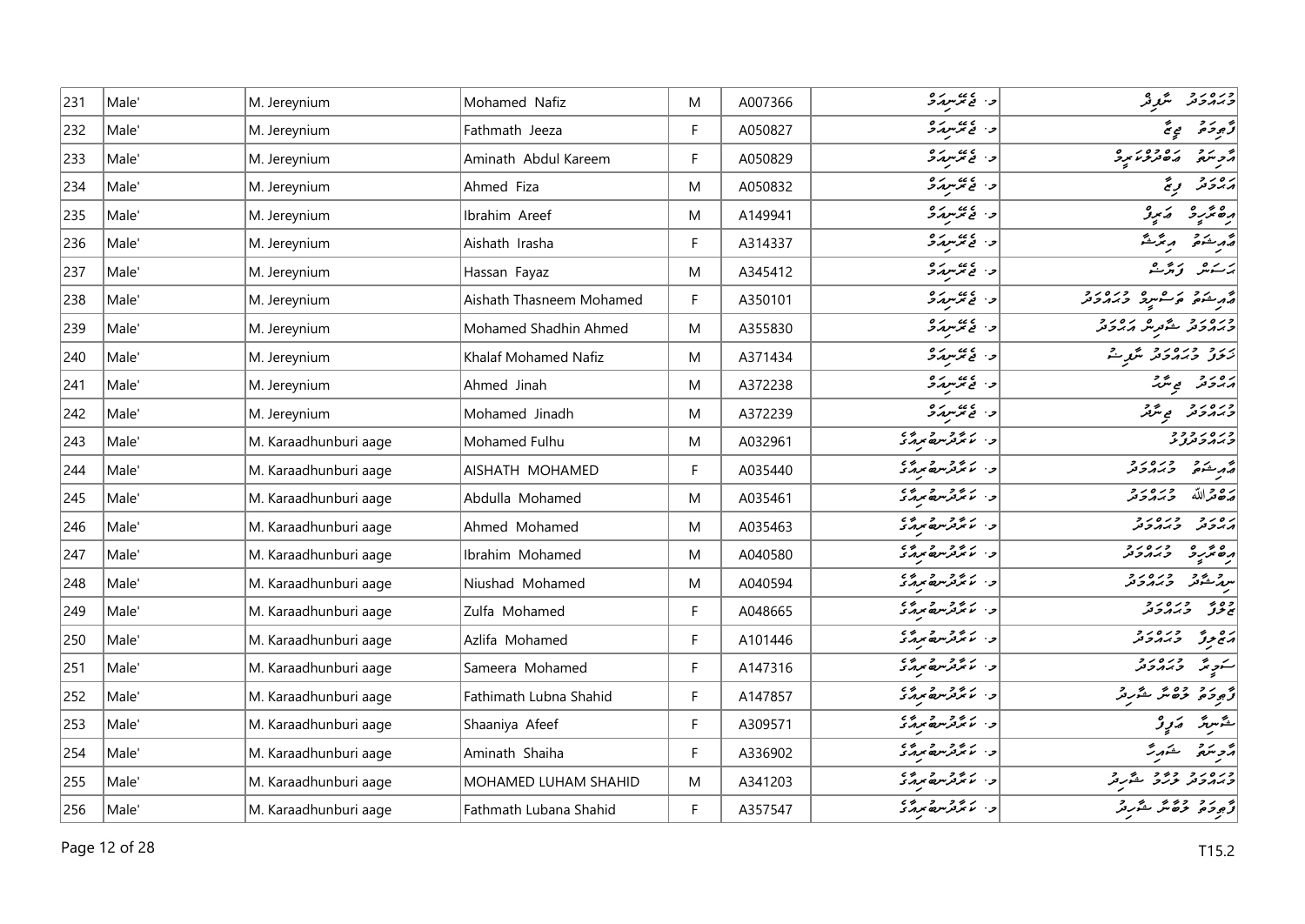| 231 | Male' | M. Jereynium          | Mohamed Nafiz            | M  | A007366 | و· قاعر سرگر               | <i>د بر ه ب</i> ر د<br>سگعرفر                                   |
|-----|-------|-----------------------|--------------------------|----|---------|----------------------------|-----------------------------------------------------------------|
| 232 | Male' | M. Jereynium          | Fathmath Jeeza           | F. | A050827 | و· في محر سركر و           | وً و د د پيځ                                                    |
| 233 | Male' | M. Jereynium          | Aminath Abdul Kareem     | F  | A050829 | و· ئ <i>ۆتىرىدۇ</i>        | ر ه د ه ر ه<br>پره تر تر تر تر<br>أأرمز                         |
| 234 | Male' | M. Jereynium          | Ahmed Fiza               | M  | A050832 |                            | پروترو                                                          |
| 235 | Male' | M. Jereynium          | Ibrahim Areef            | M  | A149941 | و· ق <sub>ع</sub> مگرسرگرو | دەندىر<br>ەئىمبەر                                               |
| 236 | Male' | M. Jereynium          | Aishath Irasha           | F  | A314337 | و به عرض ده<br>د به عرض ده | مەرىشقى مەترىش                                                  |
| 237 | Male' | M. Jereynium          | Hassan Fayaz             | M  | A345412 | و· في ترسمه كره            | برسەش ئەبۇر شە                                                  |
| 238 | Male' | M. Jereynium          | Aishath Thasneem Mohamed | F  | A350101 | و· في مجمع مركز            | و مشهور و مسور و دره د و                                        |
| 239 | Male' | M. Jereynium          | Mohamed Shadhin Ahmed    | M  | A355830 | و· في محرس كرو             | ورەرو ئەرەر دەرو                                                |
| 240 | Male' | M. Jereynium          | Khalaf Mohamed Nafiz     | M  | A371434 | وسط مرسم و                 | زرو ورورو شرية                                                  |
| 241 | Male' | M. Jereynium          | Ahmed Jinah              | M  | A372238 | - قائم موردة               | برەر دېگر                                                       |
| 242 | Male' | M. Jereynium          | Mohamed Jinadh           | M  | A372239 | و· في ترسر كره             | ورەر دېم پەر                                                    |
| 243 | Male' | M. Karaadhunburi aage | Mohamed Fulhu            | M  | A032961 | כ מיצל יינם יגול ב         | و ر ه ر و و و<br><i>و پر پر و</i> تونو نو                       |
| 244 | Male' | M. Karaadhunburi aage | AISHATH MOHAMED          | F  | A035440 | כ מיצע יש <i>אינ</i>       | ه دره دره دره<br>په شوه در درد                                  |
| 245 | Male' | M. Karaadhunburi aage | Abdulla Mohamed          | M  | A035461 | כ י מית ברייקם מרגי        | ەھىراللە<br>و ر ه ر و<br>تر پر ژ تر                             |
| 246 | Male' | M. Karaadhunburi aage | Ahmed Mohamed            | M  | A035463 |                            | נפגב בנסגב<br>גגבע בגגבע                                        |
| 247 | Male' | M. Karaadhunburi aage | Ibrahim Mohamed          | M  | A040580 | כי מתנקיים תחי             | ەھ ئۈر ۋ<br>و رە ر د<br>تر پر تر تر                             |
| 248 | Male' | M. Karaadhunburi aage | Niushad Mohamed          | M  | A040594 | כי מתנקיים תחי             | سرمشتور وره دو                                                  |
| 249 | Male' | M. Karaadhunburi aage | Zulfa Mohamed            | F  | A048665 |                            | و ره ر د<br><i>د ب</i> رگرمر<br>ح ج بحر<br>سي <del>ح</del> ر تو |
| 250 | Male' | M. Karaadhunburi aage | Azlifa Mohamed           | F  | A101446 | כי מתנקיים תחי             | و ره ر و<br><i>د ب</i> رگرفر<br>ە ئى جەتر                       |
| 251 | Male' | M. Karaadhunburi aage | Sameera Mohamed          | F  | A147316 | כ מיצל יינם יהוד ב         | سكوير ورەرد                                                     |
| 252 | Male' | M. Karaadhunburi aage | Fathimath Lubna Shahid   | F  | A147857 | כ י מית ברייקם מרגי        | توجوحو حقاش كارتر                                               |
| 253 | Male' | M. Karaadhunburi aage | Shaaniya Afeef           | F  | A309571 |                            | شو په کارو کې د                                                 |
| 254 | Male' | M. Karaadhunburi aage | Aminath Shaiha           | F  | A336902 | כ מינקר יישוב בי           | أرتجه ستورث                                                     |
| 255 | Male' | M. Karaadhunburi aage | MOHAMED LUHAM SHAHID     | M  | A341203 |                            | ورەر د دود شرید                                                 |
| 256 | Male' | M. Karaadhunburi aage | Fathmath Lubana Shahid   | F. | A357547 |                            | توجده ومحاش الشرار                                              |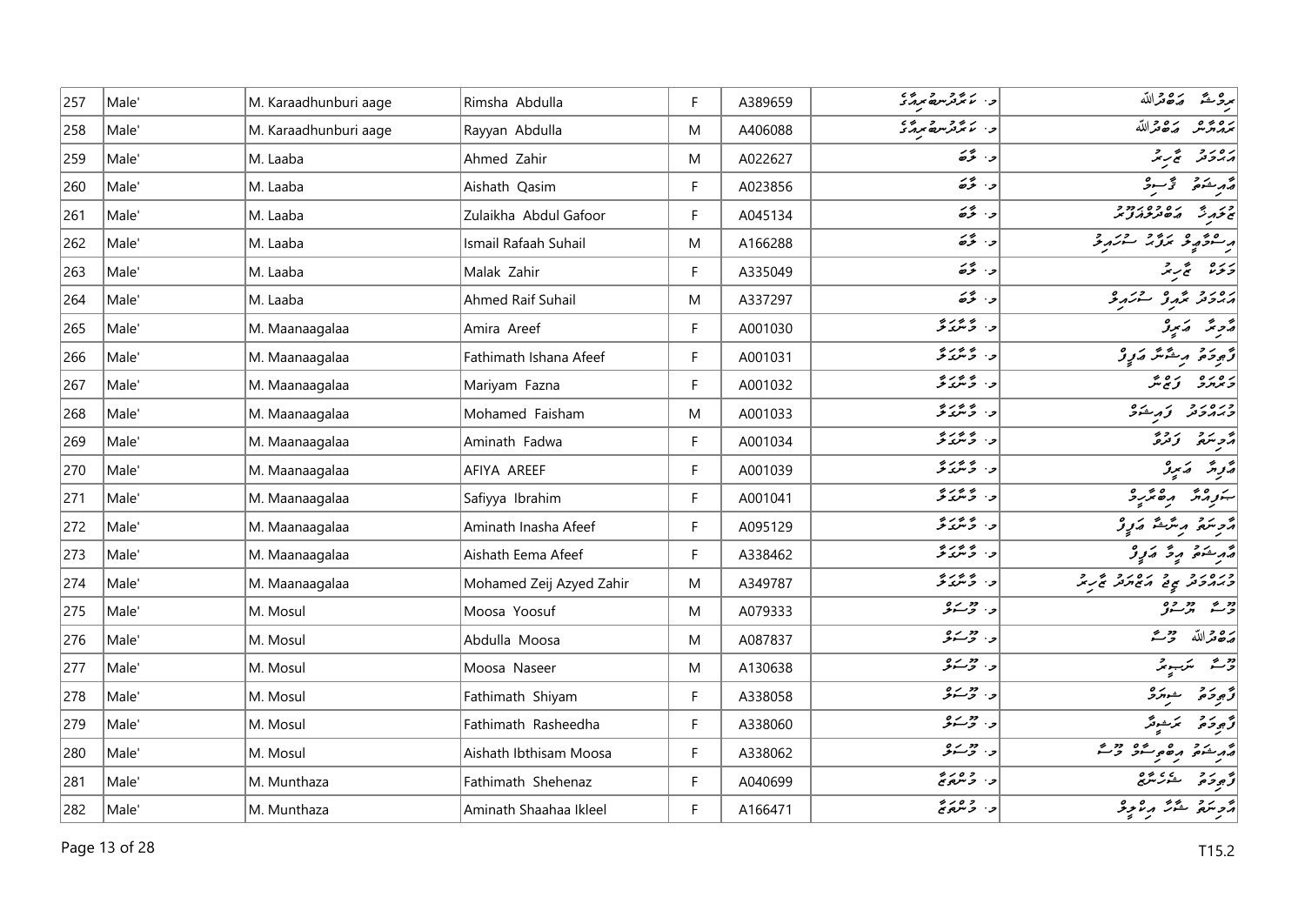| 257 | Male' | M. Karaadhunburi aage | Rimsha Abdulla           | F  | A389659 | כ י מיתרת יישוב בי ג' | صصرالله<br>  برد ک      |
|-----|-------|-----------------------|--------------------------|----|---------|-----------------------|-------------------------|
| 258 | Male' | M. Karaadhunburi aage | Rayyan Abdulla           | M  | A406088 |                       | برە بور رە قراللە       |
| 259 | Male' | M. Laaba              | Ahmed Zahir              | M  | A022627 | و· تَوُّهَ            | د ه د چې چې چې          |
| 260 | Male' | M. Laaba              | Aishath Qasim            | F  | A023856 | و· تۇھَ               | ومرشوم تخسو             |
| 261 | Male' | M. Laaba              | Zulaikha Abdul Gafoor    | F  | A045134 | و· تَوُّهَ            | כן לי הסינקיקי בין היו  |
| 262 | Male' | M. Laaba              | Ismail Rafaah Suhail     | M  | A166288 | و· تَوْرَ             | ر مەۋرو ئەۋر مەررۇ      |
| 263 | Male' | M. Laaba              | Malak Zahir              | F  | A335049 | و· تۇھَ               | لايزه لحمر بز           |
| 264 | Male' | M. Laaba              | Ahmed Raif Suhail        | M  | A337297 | و· تَوُّهَ            | برورد بمرو تحريرو       |
| 265 | Male' | M. Maanaagalaa        | Amira Areef              | F  | A001030 | وسە ئەرىمى ئى         | أأروش أأربوني           |
| 266 | Male' | M. Maanaaqalaa        | Fathimath Ishana Afeef   | F  | A001031 | وسۇ ئىرىمۇ            | توجوج مشكر كالموثر      |
| 267 | Male' | M. Maanaagalaa        | Mariyam Fazna            | F. | A001032 | وستح شمرمتى           | رەرە رەش                |
| 268 | Male' | M. Maanaaqalaa        | Mohamed Faisham          | M  | A001033 | وستح شمرمتى           | ورەرو تەرشك             |
| 269 | Male' | M. Maanaaqalaa        | Aminath Fadwa            | F  | A001034 | وستح شمرمتى           | أأدوسكم وتروي           |
| 270 | Male' | M. Maanaaqalaa        | AFIYA AREEF              | F  | A001039 | وسۇ ئىرىمۇ            | ۇرۇ مەر                 |
| 271 | Male' | M. Maanaagalaa        | Safiyya Ibrahim          | F  | A001041 | وستحسنمى تحر          |                         |
| 272 | Male' | M. Maanaagalaa        | Aminath Inasha Afeef     | F  | A095129 | وسە ئەشرىمى ئى        | أدوسي وسرعة أورو        |
| 273 | Male' | M. Maanaagalaa        | Aishath Eema Afeef       | F. | A338462 | وسە ئەشمەتى           | مەر شىم بەر ئەرو        |
| 274 | Male' | M. Maanaaqalaa        | Mohamed Zeij Azyed Zahir | M  | A349787 | وسۇ ئىرىمۇ            | כנסנב תב גםנב בתב       |
| 275 | Male' | M. Mosul              | Moosa Yoosuf             | M  | A079333 | وسيح شكوهي            | در میں دور              |
| 276 | Male' | M. Mosul              | Abdulla Moosa            | M  | A087837 | وسيح مسكوهي           | مَەھْرَاللَّهُ حَرْثَةُ |
| 277 | Male' | M. Mosul              | Moosa Naseer             | M  | A130638 | د . "د مره            | الرحمش الكرسومر         |
| 278 | Male' | M. Mosul              | Fathimath Shiyam         | F  | A338058 | د . "د شکو            | توجدة الشواردة          |
| 279 | Male' | M. Mosul              | Fathimath Rasheedha      | F  | A338060 | د . ژب                | ۇ بوڭ ئۆسىدىگە<br>ئەر   |
| 280 | Male' | M. Mosul              | Aishath Ibthisam Moosa   | F  | A338062 | وسيح مسكوهي           |                         |
| 281 | Male' | M. Munthaza           | Fathimath Shehenaz       | F  | A040699 | و . وه د و            |                         |
| 282 | Male' | M. Munthaza           | Aminath Shaahaa Ikleel   | F  | A166471 | و . و ه د و           | أروسم يشرح وعوو         |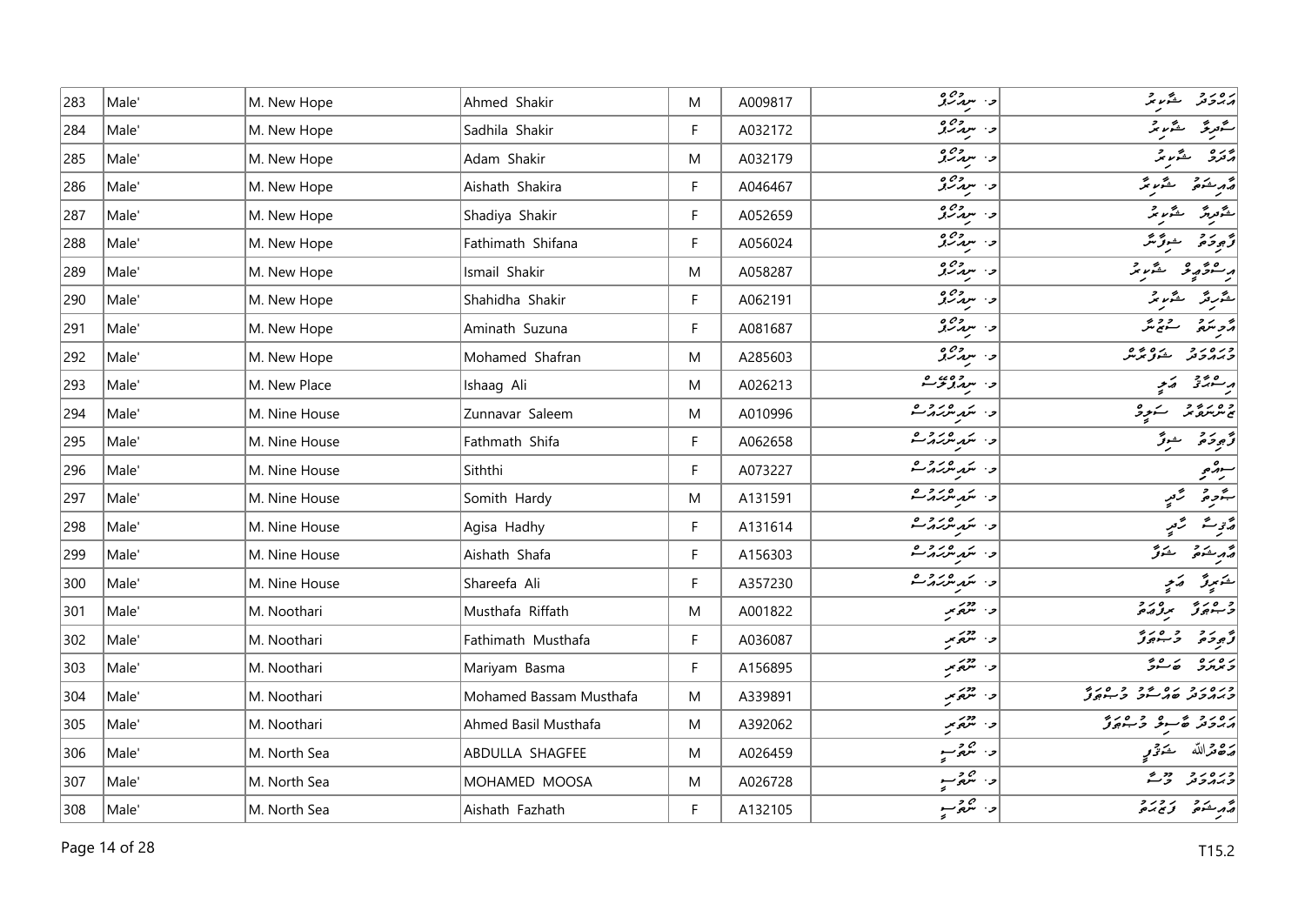| 283 | Male' | M. New Hope   | Ahmed Shakir            | M           | A009817 | د . سرم <sup>99</sup> و         | رەر ئەسىمى<br>مەركى ئىسىمى                                                                                                                                                                                                       |
|-----|-------|---------------|-------------------------|-------------|---------|---------------------------------|----------------------------------------------------------------------------------------------------------------------------------------------------------------------------------------------------------------------------------|
| 284 | Male' | M. New Hope   | Sadhila Shakir          | F           | A032172 | و. سروره و                      | شەھرىمە<br>سەمەرتى                                                                                                                                                                                                               |
| 285 | Male' | M. New Hope   | Adam Shakir             | M           | A032179 | و· سرمبرو                       | پر ده<br>مرکز<br>شەرىد                                                                                                                                                                                                           |
| 286 | Male' | M. New Hope   | Aishath Shakira         | F           | A046467 | د . سرچار و                     | د مرشوم<br>مرم شوم<br>ىشكە بىر                                                                                                                                                                                                   |
| 287 | Male' | M. New Hope   | Shadiya Shakir          | $\mathsf F$ | A052659 | اح مدرج من دين<br>اڪسي          | المقامر المراكب المحمد المراكب المحمد المراكب المستقدم المراكب المستقدم المستقدم المستقدم المستقدم المستقدم ال<br>المستقدم المستقدم المستقدم المستقدم المستقدم المستقدم المستقدم المستقدم المستقدم المستقدم المستقدم المستقدم ال |
| 288 | Male' | M. New Hope   | Fathimath Shifana       | $\mathsf F$ | A056024 | $902 - 7$                       | توجدة جوتش                                                                                                                                                                                                                       |
| 289 | Male' | M. New Hope   | Ismail Shakir           | M           | A058287 | ا د . سد د چې                   | رەشۇر ئۇر                                                                                                                                                                                                                        |
| 290 | Male' | M. New Hope   | Shahidha Shakir         | F           | A062191 |                                 | الشرير الشرير<br>الشرير                                                                                                                                                                                                          |
| 291 | Male' | M. New Hope   | Aminath Suzuna          | F           | A081687 | و سرچيږ                         | أروسكم سيمتع                                                                                                                                                                                                                     |
| 292 | Male' | M. New Hope   | Mohamed Shafran         | M           | A285603 | $3.2 - 7.5$                     | ورەرو دەپرە<br><i>دىد</i> ىرىتى شۆترىتى                                                                                                                                                                                          |
| 293 | Male' | M. New Place  | Ishaag Ali              | M           | A026213 | د. سروژوی                       | ور شرچينې وکړمنې                                                                                                                                                                                                                 |
| 294 | Male' | M. Nine House | Zunnavar Saleem         | M           | A010996 | د· سَمَدِ سَرْرَ رَبَّ          | و و برو و سکوچ                                                                                                                                                                                                                   |
| 295 | Male' | M. Nine House | Fathmath Shifa          | F.          | A062658 | و· سَمَدِ سَرْرَ مَرْ -         | و و د د شرو                                                                                                                                                                                                                      |
| 296 | Male' | M. Nine House | Siththi                 | $\mathsf F$ | A073227 | د· سَمَدِ سَرْرَ رَحْمَدُ ک     | سودھو                                                                                                                                                                                                                            |
| 297 | Male' | M. Nine House | Somith Hardy            | M           | A131591 | و· سَمدِ سِرْرَ ۾ گ             | $rac{2}{\sqrt{2}}$<br>ر گھر                                                                                                                                                                                                      |
| 298 | Male' | M. Nine House | Agisa Hadhy             | F           | A131614 | و· سَمَدِ س <i>رْبَہ م</i> ُتَّ | و ديگر دي دي.<br>مرد شعر                                                                                                                                                                                                         |
| 299 | Male' | M. Nine House | Aishath Shafa           | F.          | A156303 | و· سَمدِ سِرْرَ ۾ گ             |                                                                                                                                                                                                                                  |
| 300 | Male' | M. Nine House | Shareefa Ali            | F           | A357230 | د· سَمَدِ س <i>رْدَ د</i> ه ه   | لتكبرق أمكمج                                                                                                                                                                                                                     |
| 301 | Male' | M. Noothari   | Musthafa Riffath        | M           | A001822 | —<br>احسنه منهج من              | د مەر د<br>ە رە<br>بىر ۋە ئەھ                                                                                                                                                                                                    |
| 302 | Male' | M. Noothari   | Fathimath Musthafa      | F.          | A036087 | د . متهجم بر                    | د پەر د<br>وٌموِ رَم                                                                                                                                                                                                             |
| 303 | Male' | M. Noothari   | Mariyam Basma           | F           | A156895 | د. مینویر                       | رەرە شەر                                                                                                                                                                                                                         |
| 304 | Male' | M. Noothari   | Mohamed Bassam Musthafa | M           | A339891 | د. متهجم                        | 2000 2000 2000<br>2000 2000 2000 3000                                                                                                                                                                                            |
| 305 | Male' | M. Noothari   | Ahmed Basil Musthafa    | M           | A392062 | -<br> و· مترهوس                 | ره رو په سرو و ه درو<br>پرندونډ ځاسونو و سوچ                                                                                                                                                                                     |
| 306 | Male' | M. North Sea  | ABDULLA SHAGFEE         | M           | A026459 | احر میگردید.<br>احرار میگر      | پره قرالله شوتروپه                                                                                                                                                                                                               |
| 307 | Male' | M. North Sea  | MOHAMED MOOSA           | M           | A026728 | اح میگر شیم ب                   | وره دو دورم                                                                                                                                                                                                                      |
| 308 | Male' | M. North Sea  | Aishath Fazhath         | F           | A132105 | د. متعدّم په                    | ورشاه والمحدد                                                                                                                                                                                                                    |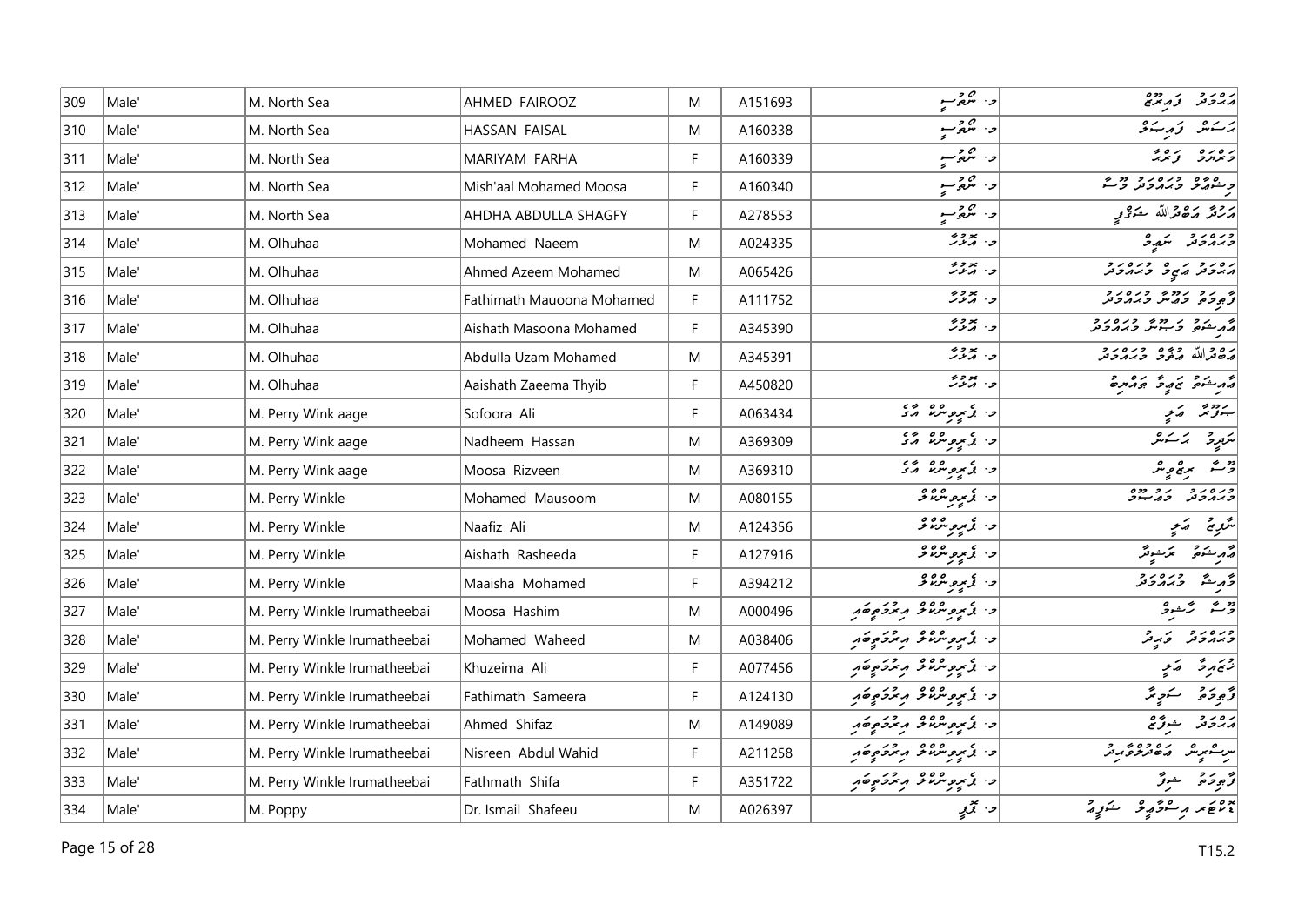| 309 | Male' | M. North Sea                 | AHMED FAIROOZ             | M         | A151693 | - مگهرسپه                                                                                                | أربور ومرجع                                                                                                                                                                                                                     |
|-----|-------|------------------------------|---------------------------|-----------|---------|----------------------------------------------------------------------------------------------------------|---------------------------------------------------------------------------------------------------------------------------------------------------------------------------------------------------------------------------------|
| 310 | Male' | M. North Sea                 | HASSAN FAISAL             | M         | A160338 | ۔<br>د سمو                                                                                               | يرسكش كور يكثر                                                                                                                                                                                                                  |
| 311 | Male' | M. North Sea                 | MARIYAM FARHA             | F.        | A160339 | د. مت <sub>عو</sub> مبر                                                                                  | ره ره و دی                                                                                                                                                                                                                      |
| 312 | Male' | M. North Sea                 | Mish'aal Mohamed Moosa    | F.        | A160340 | اح میگر کے                                                                                               | و عود و دره در در در د                                                                                                                                                                                                          |
| 313 | Male' | M. North Sea                 | AHDHA ABDULLA SHAGFY      | F         | A278553 | احز، متنعج ب                                                                                             | أترتقر وكافترالله خزنجو                                                                                                                                                                                                         |
| 314 | Male' | M. Olhuhaa                   | Mohamed Naeem             | M         | A024335 | وسيمروج                                                                                                  | ورەر د شھرى                                                                                                                                                                                                                     |
| 315 | Male' | M. Olhuhaa                   | Ahmed Azeem Mohamed       | M         | A065426 | وسيمروج                                                                                                  | גם גב גם בגם גב<br>גגבע ג'שֶכ" בגגבע                                                                                                                                                                                            |
| 316 | Male' | M. Olhuhaa                   | Fathimath Mauoona Mohamed | F         | A111752 | وسيمروج                                                                                                  | ه د د دده دره د د                                                                                                                                                                                                               |
| 317 | Male' | M. Olhuhaa                   | Aishath Masoona Mohamed   | F.        | A345390 | ى بەردى                                                                                                  | ه مدر و د دوه وره د و<br>هم شوه و سنگ وبرماون                                                                                                                                                                                   |
| 318 | Male' | M. Olhuhaa                   | Abdulla Uzam Mohamed      | M         | A345391 | وسيمروج                                                                                                  | ره د الله مخود د بر در د                                                                                                                                                                                                        |
| 319 | Male' | M. Olhuhaa                   | Aaishath Zaeema Thyib     | F.        | A450820 | وسيمروج                                                                                                  | הת בים בקב התתם                                                                                                                                                                                                                 |
| 320 | Male' | M. Perry Wink aage           | Sofoora Ali               | F         | A063434 | د· بز <sub>موجو</sub> مرز مرد                                                                            | سود پر مدیر                                                                                                                                                                                                                     |
| 321 | Male' | M. Perry Wink aage           | Nadheem Hassan            | M         | A369309 | د· کو سر مریم اردی                                                                                       | ىكەرچ كەسكىل                                                                                                                                                                                                                    |
| 322 | Male' | M. Perry Wink aage           | Moosa Rizveen             | M         | A369310 | د· کو سر مر ملا ملا ک                                                                                    |                                                                                                                                                                                                                                 |
| 323 | Male' | M. Perry Winkle              | Mohamed Mausoom           | M         | A080155 | د· کې پره پرړنو                                                                                          | כנסנכ נכס<br><i>כמ</i> תכ <mark>נ</mark> כ <mark>מ</mark> ייכ                                                                                                                                                                   |
| 324 | Male' | M. Perry Winkle              | Naafiz Ali                | M         | A124356 | د· كۆپرە بىر بىر بىر بىر                                                                                 | سٌرِج مَرِ                                                                                                                                                                                                                      |
| 325 | Male' | M. Perry Winkle              | Aishath Rasheeda          | F         | A127916 | د· کې پره مرمامو                                                                                         | د<br>مگر شکور مگر شونگر                                                                                                                                                                                                         |
| 326 | Male' | M. Perry Winkle              | Maaisha Mohamed           | F.        | A394212 | و· بۇ بېرە بىرىدى<br>                                                                                    | الحمدشة<br>و ر ه ر و<br><i>و ټ</i> رو تر                                                                                                                                                                                        |
| 327 | Male' | M. Perry Winkle Irumatheebai | Moosa Hashim              | M         | A000496 | ه ومروشرو مرتزء وه                                                                                       | رح ئەر                                                                                                                                                                                                                          |
| 328 | Male' | M. Perry Winkle Irumatheebai | Mohamed Waheed            | M         | A038406 | د· زُبره مرَّما دُ مِبْرَدَهِ ۱۵ م                                                                       | ورەرو رېږ                                                                                                                                                                                                                       |
| 329 | Male' | M. Perry Winkle Irumatheebai | Khuzeima Ali              | F         | A077456 | والمستور والمستروم وأمراه وأمراه والمستعملين والمستندر والمستندر والمستندر والمستندر والمستندر والمستندر | زنج أرقح أأكمني                                                                                                                                                                                                                 |
| 330 | Male' | M. Perry Winkle Irumatheebai | Fathimath Sameera         | F         | A124130 | د· ژَيرِهِ بَرْنَا وُ مِنْزَهِ وَمَهْ                                                                    | أرموخاه سنوبتر                                                                                                                                                                                                                  |
| 331 | Male' | M. Perry Winkle Irumatheebai | Ahmed Shifaz              | M         | A149089 | و ويرو مركو مرتز و مور                                                                                   | رەر ئىستى قىلىمىتى ئىستان ئىلان ئىلان ئىلان ئىلان ئىلان ئىلان ئىلان ئىلان ئىلان ئىلان ئىلان ئىلان ئىلان ئىلان<br>ئالان ئىلان ئىلان ئىلان ئىلان ئىلان ئىلان ئىلان ئىلان ئىلان ئىلان ئىلان ئىلان ئىلان ئىلان ئىلان ئىلان ئىلان ئى |
| 332 | Male' | M. Perry Winkle Irumatheebai | Nisreen Abdul Wahid       | F         | A211258 | د· زَمِرِهِ مَرْمَوْ وَمِرْدَهِ صَوَ                                                                     | سرگوپر مەدەپرىر                                                                                                                                                                                                                 |
| 333 | Male' | M. Perry Winkle Irumatheebai | Fathmath Shifa            | F         | A351722 | وسيوس ووو مستخفوهم                                                                                       | أوجرحه<br>شوترٌ                                                                                                                                                                                                                 |
| 334 | Male' | M. Poppy                     | Dr. Ismail Shafeeu        | ${\sf M}$ | A026397 | احا مجمولي                                                                                               | برەر بەر مەدىرى ئىدىرى                                                                                                                                                                                                          |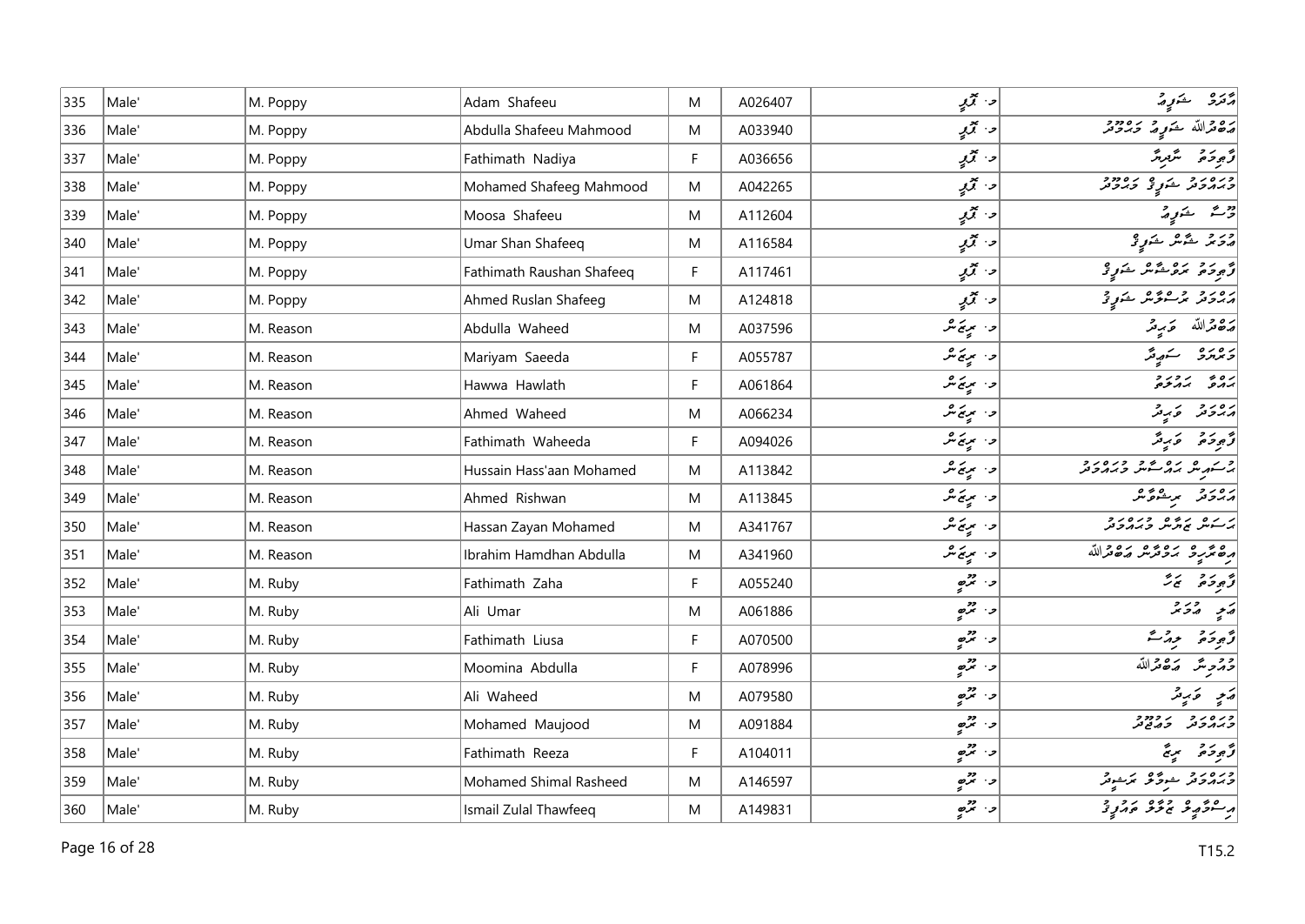| 335 | Male' | M. Poppy  | Adam Shafeeu              | M           | A026407 | احا مجميو                            | پر پر دیگر پر                             |
|-----|-------|-----------|---------------------------|-------------|---------|--------------------------------------|-------------------------------------------|
| 336 | Male' | M. Poppy  | Abdulla Shafeeu Mahmood   | M           | A033940 | ر بيخ پر                             | بره والله خورٍ وره دو د                   |
| 337 | Male' | M. Poppy  | Fathimath Nadiya          | $\mathsf F$ | A036656 | ر به مجزرٍ                           | أزَّمُوحَامٌ السَّرْرِدَّ                 |
| 338 | Male' | M. Poppy  | Mohamed Shafeeg Mahmood   | M           | A042265 | ر بي چي                              | ورەر د مەر ئەدەر<br>دىرەر ئىستۇر ئىس      |
| 339 | Male' | M. Poppy  | Moosa Shafeeu             | M           | A112604 | ر جي په                              | وحث الحكم والمحمد المحمد                  |
| 340 | Male' | M. Poppy  | Umar Shan Shafeeq         | M           | A116584 | احق تي په                            | ور و القرار المور                         |
| 341 | Male' | M. Poppy  | Fathimath Raushan Shafeeq | F           | A117461 | ر بي چي                              | تو د د ده شکر شوړه                        |
| 342 | Male' | M. Poppy  | Ahmed Ruslan Shafeeg      | M           | A124818 | ر به مجزرٍ                           | رەرد درمۇش خۇرچ                           |
| 343 | Male' | M. Reason | Abdulla Waheed            | M           | A037596 | ح <sup>.</sup> س <sub>چ</sub> ىقر    | مَەھمَراللَّه عَرَبِيْتَر                 |
| 344 | Male' | M. Reason | Mariyam Saeeda            | $\mathsf F$ | A055787 | ح <sup>.</sup> برىخ مىگ              | د ۱۵ د سکه مگر                            |
| 345 | Male' | M. Reason | Hawwa Hawlath             | F           | A061864 | ح · بىرىخ مىگە                       | برە ئەردىر                                |
| 346 | Male' | M. Reason | Ahmed Waheed              | M           | A066234 | ار . برنج مگر                        | رەرد كەيىر<br>مەركىر كۆپىر                |
| 347 | Male' | M. Reason | Fathimath Waheeda         | F           | A094026 | ح <sup>.</sup> برىم مىر              | وٌجوحَ حَ رَبِّدٌ                         |
| 348 | Male' | M. Reason | Hussain Hass'aan Mohamed  | M           | A113842 | <sub>ح</sub> . س <sub>م</sub> يئ مثر | ר גם גם גם כנסיד<br>גבותית גוגבות כגודבת  |
| 349 | Male' | M. Reason | Ahmed Rishwan             | M           | A113845 | <sub>ح</sub> . س <sub>م</sub> يئ مثر | رەرو برخوش                                |
| 350 | Male' | M. Reason | Hassan Zayan Mohamed      | M           | A341767 | وسيم پر محمد                         | ر ده روه دره در                           |
| 351 | Male' | M. Reason | Ibrahim Hamdhan Abdulla   | M           | A341960 | ح <sub>ب</sub> ه سریم مګر            | رە ئرو بروترس رە داللە                    |
| 352 | Male' | M. Ruby   | Fathimath Zaha            | F           | A055240 | د بره<br>د بره                       | توجوجو بالمح                              |
| 353 | Male' | M. Ruby   | Ali Umar                  | M           | A061886 | د بره<br>د بره                       | $\frac{2}{3}$ $\frac{2}{3}$ $\frac{2}{3}$ |
| 354 | Male' | M. Ruby   | Fathimath Liusa           | $\mathsf F$ | A070500 | و بره<br>و بره                       | وٌوِدَهُ بِهِ مُ                          |
| 355 | Male' | M. Ruby   | Moomina Abdulla           | F           | A078996 | د بره<br>د                           | وقرويتر الاهترالله                        |
| 356 | Male' | M. Ruby   | Ali Waheed                | M           | A079580 | و . مخرچ<br>و                        | أتزمج أتأريثر                             |
| 357 | Male' | M. Ruby   | Mohamed Maujood           | M           | A091884 | و بره<br>و نړ <del>ه</del>           | כנסג ב בבבב<br>בגמבת במבת                 |
| 358 | Male' | M. Ruby   | Fathimath Reeza           | F           | A104011 | ود<br>بمرہج<br>و٠                    | و محمود من المحمد بن                      |
| 359 | Male' | M. Ruby   | Mohamed Shimal Rasheed    | M           | A146597 | د بره<br>د                           | ورەرو جوگۈ ئەجەد                          |
| 360 | Male' | M. Ruby   | Ismail Zulal Thawfeeq     | M           | A149831 | و به مخرچ<br>و                       | ر قۇم قى ئۇ ئۇر قۇم بۇ ق                  |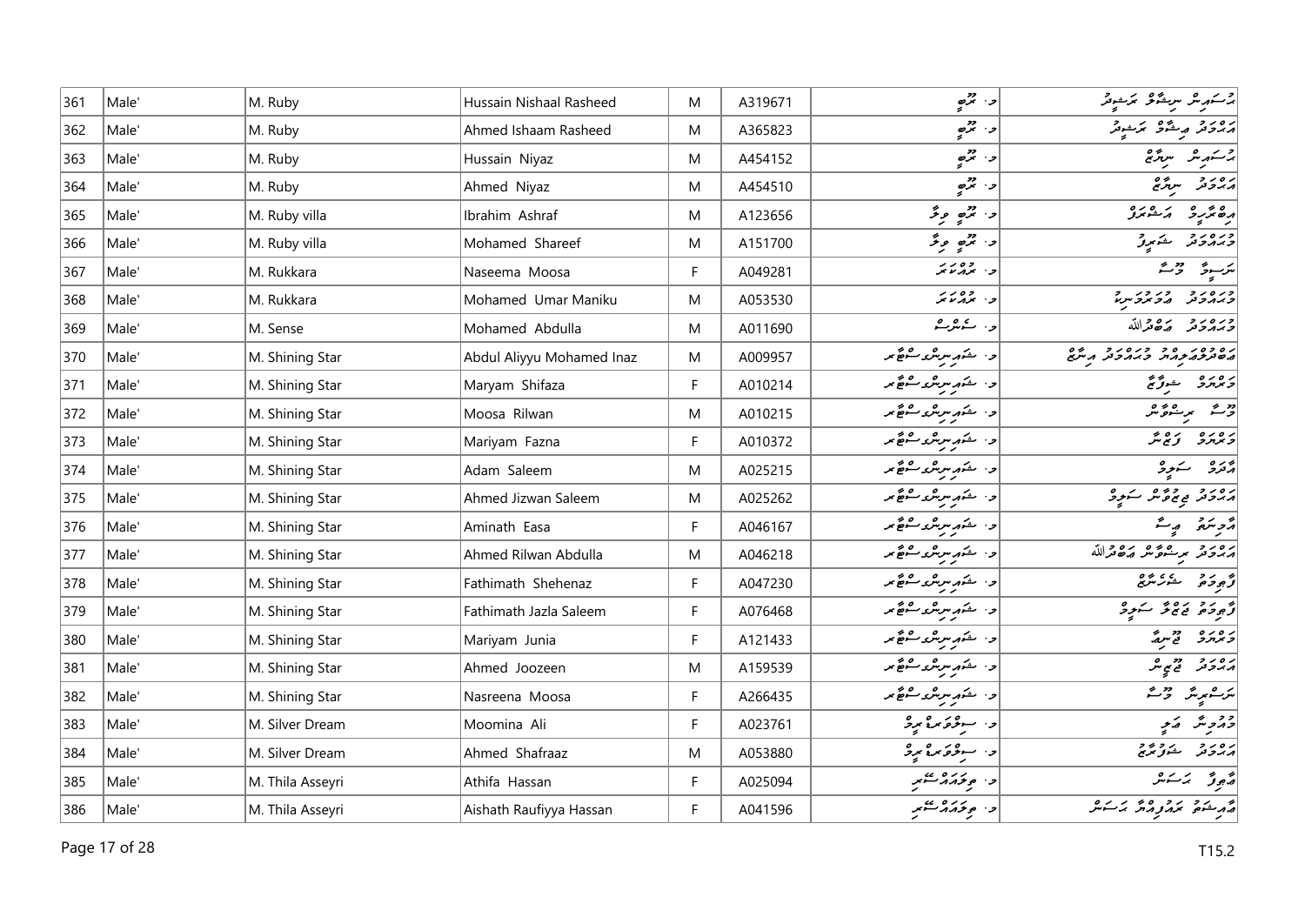| 361 | Male' | M. Ruby          | Hussain Nishaal Rasheed   | M  | A319671 | و به مخرچ<br>و                                            | رح كرور سر الله عن الله عن الله عن الله عن الله عن الله عن الله عن الله عن الله عن الله عن الله عن ا                                                                                                                            |
|-----|-------|------------------|---------------------------|----|---------|-----------------------------------------------------------|---------------------------------------------------------------------------------------------------------------------------------------------------------------------------------------------------------------------------------|
| 362 | Male' | M. Ruby          | Ahmed Ishaam Rasheed      | M  | A365823 | د بره<br>د                                                | أرور و مشرق المساور                                                                                                                                                                                                             |
| 363 | Male' | M. Ruby          | Hussain Niyaz             | M  | A454152 | د بره<br>د                                                | برسكريش سرمرج                                                                                                                                                                                                                   |
| 364 | Male' | M. Ruby          | Ahmed Niyaz               | M  | A454510 | د بره<br>د                                                | גפנג תוצם                                                                                                                                                                                                                       |
| 365 | Male' | M. Ruby villa    | Ibrahim Ashraf            | M  | A123656 | د بره و د                                                 |                                                                                                                                                                                                                                 |
| 366 | Male' | M. Ruby villa    | Mohamed Shareef           | M  | A151700 | د· نژه وقر                                                | ورەرو شەرو                                                                                                                                                                                                                      |
| 367 | Male' | M. Rukkara       | Naseema Moosa             | F  | A049281 | وسيرمانو                                                  | $\begin{bmatrix} 2 & 2 \\ -2 & 2 \end{bmatrix} \begin{bmatrix} 2 & 2 \\ 2 & 2 \end{bmatrix}$                                                                                                                                    |
| 368 | Male' | M. Rukkara       | Mohamed Umar Maniku       | M  | A053530 | و . وه د ر<br>و . موړ ما مو                               | כנסנכ כנכצית.<br>כגובת ובמצייני                                                                                                                                                                                                 |
| 369 | Male' | M. Sense         | Mohamed Abdulla           | M  | A011690 | ى ئەيرىش                                                  | وره رو دەقراللە                                                                                                                                                                                                                 |
| 370 | Male' | M. Shining Star  | Abdul Aliyyu Mohamed Inaz | M  | A009957 | وسنشهر سر سر سر متع مح                                    | נספסגם כך כנסגר בים                                                                                                                                                                                                             |
| 371 | Male' | M. Shining Star  | Maryam Shifaza            | F  | A010214 | و. ڪورسر مثري ڪوڻجير                                      | رەرە شەرقى                                                                                                                                                                                                                      |
| 372 | Male' | M. Shining Star  | Moosa Rilwan              | M  | A010215 | ار. ڪور سريندي ڪريج پر                                    | ور میں مرکز میں میں میں میں میں میں میں میں میں ان کے مقدام کر ان کے مقدام کے مقدام کے مقدام کے مقدام کے مقدام<br>مقدام مقدام کے مقدام کے مقدام کے مقدام کے مقدام کرنے کے مقدام کے مقدام کے مقدام کے مقدام کے مقدام کے مقدام کے |
| 373 | Male' | M. Shining Star  | Mariyam Fazna             | F  | A010372 | و، شکه سرسری کردهج مر                                     | رەرە زەپر                                                                                                                                                                                                                       |
| 374 | Male' | M. Shining Star  | Adam Saleem               | M  | A025215 | و شور سر سر سر شون کو                                     | پر پر دی کے بیرو                                                                                                                                                                                                                |
| 375 | Male' | M. Shining Star  | Ahmed Jizwan Saleem       | M  | A025262 | وسنشهر سر مثلاث سنقصر                                     |                                                                                                                                                                                                                                 |
| 376 | Male' | M. Shining Star  | Aminath Easa              | F  | A046167 | <mark>وست كرير سر سر سر كرد كر</mark> بير                 | أزدينهم يدع                                                                                                                                                                                                                     |
| 377 | Male' | M. Shining Star  | Ahmed Rilwan Abdulla      | M  | A046218 | <mark>وست كرم مر شركت من</mark> كانت به استان كرمان به من | رەرو برخوش مەھمە                                                                                                                                                                                                                |
| 378 | Male' | M. Shining Star  | Fathimath Shehenaz        | F  | A047230 | وسنۇرسرىئى سوڭىمە                                         | أقرار والمحمد والمحمدة المحمدة المتجمع                                                                                                                                                                                          |
| 379 | Male' | M. Shining Star  | Fathimath Jazla Saleem    | F  | A076468 | <mark>وسىئەر سرىئرى سىۋ</mark> ىمە                        | أورد ره و رکنده                                                                                                                                                                                                                 |
| 380 | Male' | M. Shining Star  | Mariyam Junia             | F  | A121433 | و. خور سر شریب مشرکه م                                    | و دره دوسر                                                                                                                                                                                                                      |
| 381 | Male' | M. Shining Star  | Ahmed Joozeen             | M  | A159539 | و. ځوړسرینۍ کوځمه                                         | د ۱۵ د د معمومتر<br>  د بر د د سي محمد                                                                                                                                                                                          |
| 382 | Male' | M. Shining Star  | Nasreena Moosa            | F  | A266435 |                                                           | برعبرير ومش                                                                                                                                                                                                                     |
| 383 | Male' | M. Silver Dream  | Moomina Ali               | F  | A023761 | <sub>و</sub> . سو <i>ؤوَ بن</i> ا برِدْ                   | درويژ پړې                                                                                                                                                                                                                       |
| 384 | Male' | M. Silver Dream  | Ahmed Shafraaz            | M  | A053880 | د· سو <i>ده م</i> ره مرد                                  | ره رو شوونوو<br>درونو شورتری                                                                                                                                                                                                    |
| 385 | Male' | M. Thila Asseyri | Athifa Hassan             | F. | A025094 | وسمج وتره عقمر                                            | ۇي ئەسكىر                                                                                                                                                                                                                       |
| 386 | Male' | M. Thila Asseyri | Aishath Raufiyya Hassan   | F  | A041596 | وسم و تر مره عمو                                          | התיים מתנחת גבת                                                                                                                                                                                                                 |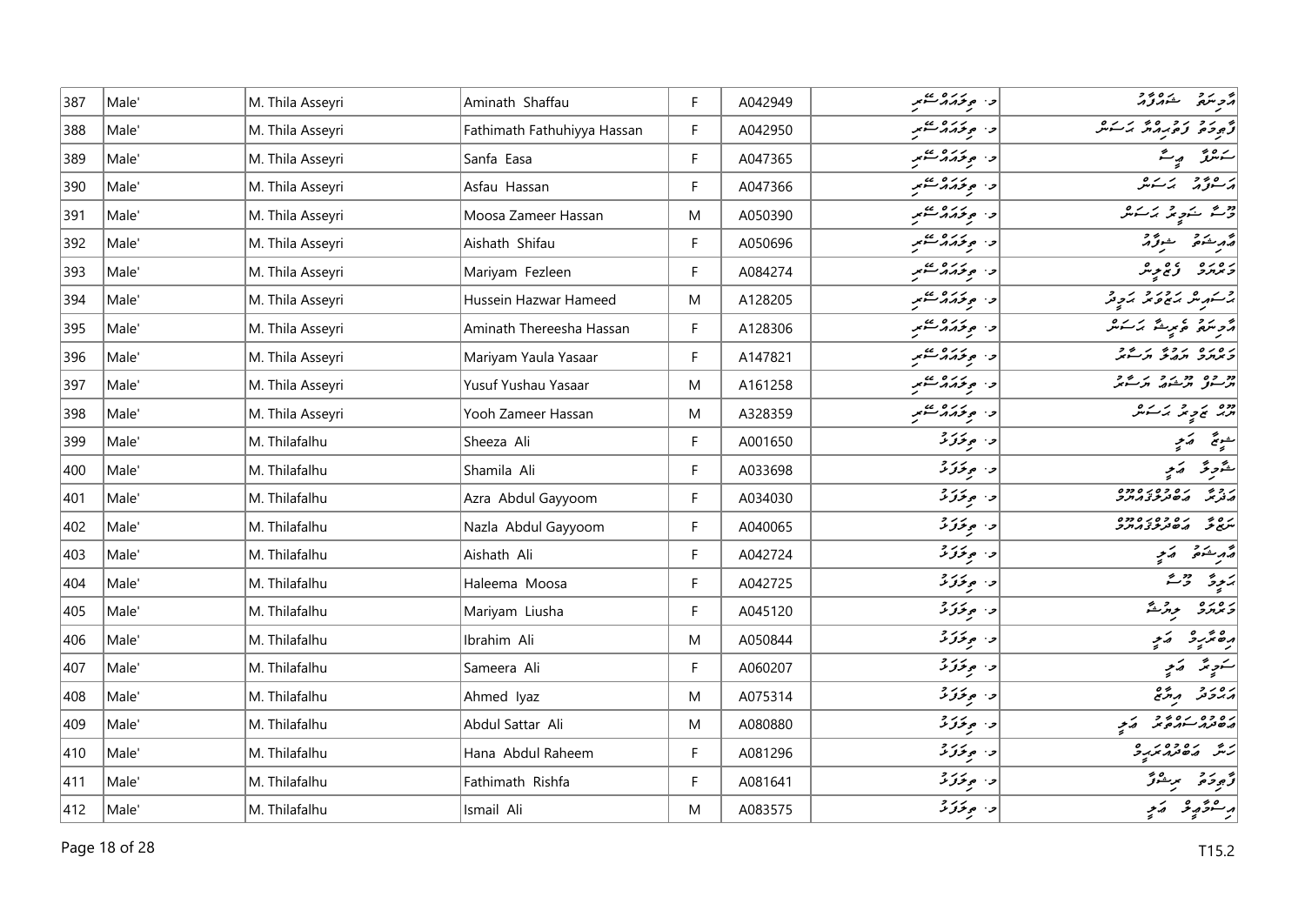| 387 | Male' | M. Thila Asseyri | Aminath Shaffau             | F  | A042949 | وسم و تر مره عمو                      | أترجمه شمادو                                 |
|-----|-------|------------------|-----------------------------|----|---------|---------------------------------------|----------------------------------------------|
| 388 | Male' | M. Thila Asseyri | Fathimath Fathuhiyya Hassan | F  | A042950 | وسم و مرده علم                        | وتجوحهم ومرمد يمسك                           |
| 389 | Male' | M. Thila Asseyri | Sanfa Easa                  | F  | A047365 | وسم و خروره عصمر                      | سَمَعْتَمْ - مِيسَّمْ                        |
| 390 | Male' | M. Thila Asseyri | Asfau Hassan                | F. | A047366 | وسم و مرده علي                        | أروم برسك                                    |
| 391 | Male' | M. Thila Asseyri | Moosa Zameer Hassan         | M  | A050390 | و· مو قراره علي                       | وقت التاريخ الاستان <i>تر</i>                |
| 392 | Male' | M. Thila Asseyri | Aishath Shifau              | F  | A050696 | وسيو و کرده علي                       | ام<br>امام شوی شورها                         |
| 393 | Male' | M. Thila Asseyri | Mariyam Fezleen             | F. | A084274 | و· <sub>مو</sub> قراره عمير<br>م      | د وړه ده وره                                 |
| 394 | Male' | M. Thila Asseyri | Hussein Hazwar Hameed       | M  | A128205 | وسم و مرده علم                        | ا چر <sub>ىسك</sub> رىكە بەردە بەر بەر يەر   |
| 395 | Male' | M. Thila Asseyri | Aminath Thereesha Hassan    | F  | A128306 | وسم و خروره عصمر                      | أأترسكم أوسيسة الماسكس                       |
| 396 | Male' | M. Thila Asseyri | Mariyam Yaula Yasaar        | F  | A147821 | وسم و تر مره عمو                      | ג סגם ג כפי ג פיב<br>כמחים חגיב ת היג        |
| 397 | Male' | M. Thila Asseyri | Yusuf Yushau Yasaar         | M  | A161258 | وسم و مرده علي                        | מ כם מגוב גובב.<br>תווייני תוויים, תוויית    |
| 398 | Male' | M. Thila Asseyri | Yooh Zameer Hassan          | M  | A328359 | د. موخهه ه شومبر                      | ادوه نے پر بر کے مگر                         |
| 399 | Male' | M. Thilafalhu    | Sheeza Ali                  | F  | A001650 | و <sub>`</sub> م <sub>و</sub> محرکر 2 | الشويخ الأمج                                 |
| 400 | Male' | M. Thilafalhu    | Shamila Ali                 | F  | A033698 | وا موقرتونو                           | الشووق الأمي                                 |
| 401 | Male' | M. Thilafalhu    | Azra Abdul Gayyoom          | F  | A034030 | ا د ا موتزوگر                         | ر و ده ده وه ره دوه<br>مشخیر می هنرموتو مرحو |
| 402 | Male' | M. Thilafalhu    | Nazla Abdul Gayyoom         | F  | A040065 | <mark>وسي تركز ت</mark> ر             | ره په ره ده ده ده ده<br>سرچ کې هان مرحز د در |
| 403 | Male' | M. Thilafalhu    | Aishath Ali                 | F  | A042724 | وسموقرة                               | أقهر مشتمق أقدمي                             |
| 404 | Male' | M. Thilafalhu    | Haleema Moosa               | F. | A042725 | <sub>ق</sub> م <sub>و</sub> قرَقر     | پر پورځ او د حکم                             |
| 405 | Male' | M. Thilafalhu    | Mariyam Liusha              | F  | A045120 | ا د ا موتزکر د ک                      | و ده ده و در                                 |
| 406 | Male' | M. Thilafalhu    | Ibrahim Ali                 | M  | A050844 | و <sub>: مو</sub> تزر <sup>و</sup>    | رە ئەر ئە                                    |
| 407 | Male' | M. Thilafalhu    | Sameera Ali                 | F  | A060207 | وسموقرقر                              | سەچە ئەم                                     |
| 408 | Male' | M. Thilafalhu    | Ahmed Iyaz                  | M  | A075314 | <mark>وسي وتخرج</mark>                | ره رو دره<br>مدروند م <b>ر</b>               |
| 409 | Male' | M. Thilafalhu    | Abdul Sattar Ali            | M  | A080880 | <mark>وسموترو</mark>                  |                                              |
| 410 | Male' | M. Thilafalhu    | Hana Abdul Raheem           | F  | A081296 | وسموقرة                               | ر محمد ده وه در و                            |
| 411 | Male' | M. Thilafalhu    | Fathimath Rishfa            | F. | A081641 | ا د ا موتزکو تر                       | أَدَّهِ وَوَ ٱلْمَرْ وَالْمُرْ وَالْمُرْ     |
| 412 | Male' | M. Thilafalhu    | Ismail Ali                  | M  | A083575 | ار. <sub>موځوکړ</sub>                 | برسىۋەپەيھ كەپ                               |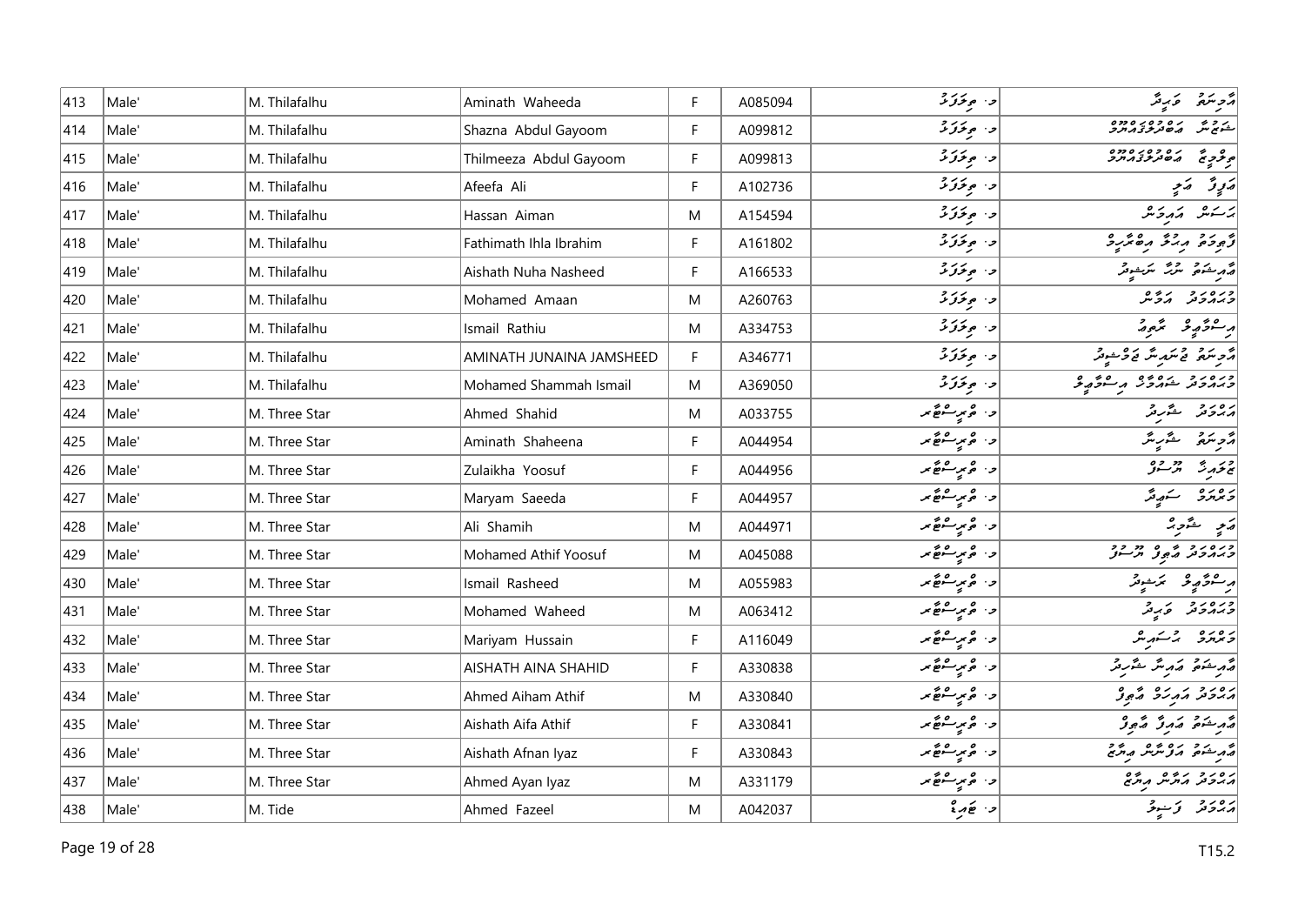| 413 | Male' | M. Thilafalhu | Aminath Waheeda          | F         | A085094 | وسموقرة                                    | أرتجه بمراته                                         |
|-----|-------|---------------|--------------------------|-----------|---------|--------------------------------------------|------------------------------------------------------|
| 414 | Male' | M. Thilafalhu | Shazna Abdul Gayoom      | F         | A099812 | وسموقرة                                    | ر د و د ده ده ده ده ده<br>  شویم س در هافترنژی در در |
| 415 | Male' | M. Thilafalhu | Thilmeeza Abdul Gayoom   | F         | A099813 | وسموقرة                                    | موڅو پځ                                              |
| 416 | Male' | M. Thilafalhu | Afeefa Ali               | F         | A102736 | وسيخوش                                     | ړ پوتر کامني                                         |
| 417 | Male' | M. Thilafalhu | Hassan Aiman             | M         | A154594 | وسيخوش                                     | بركش مكروش                                           |
| 418 | Male' | M. Thilafalhu | Fathimath Ihla Ibrahim   | F         | A161802 | وسموقرة                                    |                                                      |
| 419 | Male' | M. Thilafalhu | Aishath Nuha Nasheed     | F         | A166533 | وسيخوش                                     | ر<br>مگر شکو گرنگ کرشونر                             |
| 420 | Male' | M. Thilafalhu | Mohamed Amaan            | ${\sf M}$ | A260763 | والمموقرة                                  | ورەر دەر                                             |
| 421 | Male' | M. Thilafalhu | Ismail Rathiu            | M         | A334753 | وسموقرة                                    | أرجعتم ويحرقه لتمرمه                                 |
| 422 | Male' | M. Thilafalhu | AMINATH JUNAINA JAMSHEED | F         | A346771 | د· مومَرَدَ ژ                              | أأترجم فيحتمر تكافي والموافر                         |
| 423 | Male' | M. Thilafalhu | Mohamed Shammah Ismail   | M         | A369050 | وسمج تركز                                  | ورەرو دەۋە مەققى ئ                                   |
| 424 | Male' | M. Three Star | Ahmed Shahid             | M         | A033755 | د ، ه مړے تیم مر                           | كەن ئەرىر                                            |
| 425 | Male' | M. Three Star | Aminath Shaheena         | F         | A044954 | وسره وسرع تقرير                            | أزويني شيار                                          |
| 426 | Male' | M. Three Star | Zulaikha Yoosuf          | F         | A044956 | ر <sub>و</sub> م <sub>وسم</sub> ر مع م     | ج ځېږ شه جړه و                                       |
| 427 | Male' | M. Three Star | Maryam Saeeda            | F         | A044957 | د ، مۇمرىشقۇمر                             | رەرە سەپەتر                                          |
| 428 | Male' | M. Three Star | Ali Shamih               | M         | A044971 | د. ه موسفی مح                              | أركمني المشتر وير                                    |
| 429 | Male' | M. Three Star | Mohamed Athif Yoosuf     | M         | A045088 | و. ، هو پرڪھ پر                            | כנסגב ב ס חבר.<br>כג'ובט ולפצ וקיינ                  |
| 430 | Male' | M. Three Star | Ismail Rasheed           | M         | A055983 | وسره ومرتبط محر                            | برحوم والمتحصر                                       |
| 431 | Male' | M. Three Star | Mohamed Waheed           | M         | A063412 | <sub>چ:</sub> ه <sub>و مو</sub> رث محّ مر  | وره رو درو                                           |
| 432 | Male' | M. Three Star | Mariyam Hussain          | F         | A116049 | و ، قرمرٍ صوَّمر                           | ويوره ومنهر                                          |
| 433 | Male' | M. Three Star | AISHATH AINA SHAHID      | F         | A330838 | د <sub>'</sub> م <sub>و</sub> بر حرم کا بر | مەر شەھ مەر ش شەر قر                                 |
| 434 | Male' | M. Three Star | Ahmed Aiham Athif        | M         | A330840 | د ، مۇمرىشقۇمر                             | גפנב גגבל האקב                                       |
| 435 | Male' | M. Three Star | Aishath Aifa Athif       | F         | A330841 | <sub>چ'</sub> ه <sub>و مو</sub> رث محّ مر  | ومشتم ومرقم ومجرقه                                   |
| 436 | Male' | M. Three Star | Aishath Afnan Iyaz       | F         | A330843 | وسي مركب عصمر                              | وأمر يشتموا أمائي فللمراجح المراجح                   |
| 437 | Male' | M. Three Star | Ahmed Ayan Iyaz          | M         | A331179 | د. ه موسر ه گامر                           | גפיב גובים גובים                                     |
| 438 | Male' | M. Tide       | Ahmed Fazeel             | M         | A042037 | $\frac{1}{2}$ $\frac{1}{2}$ $\frac{1}{2}$  | پرورو کی نیکی                                        |
|     |       |               |                          |           |         |                                            |                                                      |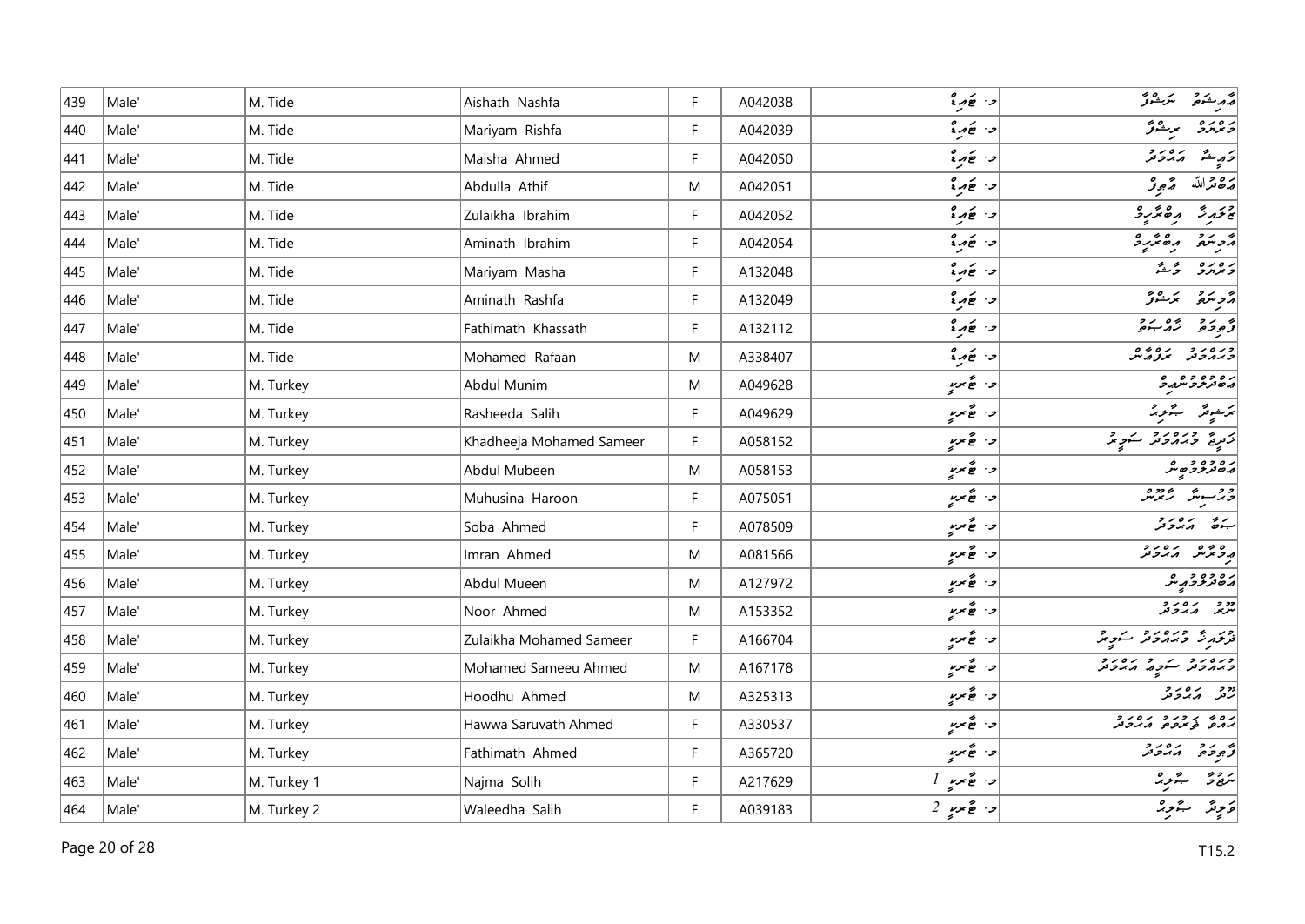| 439 | Male' | M. Tide     | Aishath Nashfa           | $\mathsf F$ | A042038 | $\frac{1}{2}$ $\frac{1}{2}$ $\frac{1}{2}$                                                            | م<br>مارسنده سرخونی<br>مار                              |
|-----|-------|-------------|--------------------------|-------------|---------|------------------------------------------------------------------------------------------------------|---------------------------------------------------------|
| 440 | Male' | M. Tide     | Mariyam Rishfa           | $\mathsf F$ | A042039 | و• غږي                                                                                               | د ۱۵ د مرگوگر                                           |
| 441 | Male' | M. Tide     | Maisha Ahmed             | F           | A042050 | ر غږ؟                                                                                                | كەرگە ئەرەر                                             |
| 442 | Male' | M. Tide     | Abdulla Athif            | M           | A042051 | $\frac{1}{2}$                                                                                        | برە دالله مەدىر                                         |
| 443 | Male' | M. Tide     | Zulaikha Ibrahim         | F           | A042052 | ر غږء                                                                                                | برە ئۆرۈ<br>چ ځه بر <sup>مي</sup>                       |
| 444 | Male' | M. Tide     | Aminath Ibrahim          | $\mathsf F$ | A042054 | $\int_{0}^{2} f(x) \, dx \geq 0$                                                                     | ە ھەترىر <sup>ە</sup><br>أرمز                           |
| 445 | Male' | M. Tide     | Mariyam Masha            | $\mathsf F$ | A132048 | $\int_{0}^{2}$ $\int_{0}^{2}$ $\int_{0}^{2}$                                                         | رەرە ئەڭ                                                |
| 446 | Male' | M. Tide     | Aminath Rashfa           | $\mathsf F$ | A132049 | $\int_{2}^{0}$ $\frac{1}{2}$ $\int_{0}^{0}$                                                          | أراد بترة الترشور                                       |
| 447 | Male' | M. Tide     | Fathimath Khassath       | F           | A132112 | $\int_{0}^{2} f(x) \, dx$                                                                            | وٌ ۽ ده ڪره ڪره                                         |
| 448 | Male' | M. Tide     | Mohamed Rafaan           | ${\sf M}$   | A338407 | $\int_{0}^{0}$ $\frac{1}{2}$ $\int_{0}^{0}$ $\frac{1}{2}$                                            | وره رو ده ده.<br><i>د ب</i> رونر نرزمه                  |
| 449 | Male' | M. Turkey   | Abdul Munim              | M           | A049628 | و· غٌ مربهٍ                                                                                          | ر ه د و و ه ه<br>پرهنرمور سمد و                         |
| 450 | Male' | M. Turkey   | Rasheeda Salih           | F           | A049629 | -<br> - عُمرٍ                                                                                        | أنرجونر الشرور                                          |
| 451 | Male' | M. Turkey   | Khadheeja Mohamed Sameer | F           | A058152 | وستجميد                                                                                              | ر ده دره د د کرد و                                      |
| 452 | Male' | M. Turkey   | Abdul Mubeen             | ${\sf M}$   | A058153 | و· غٌ مربہ                                                                                           | ره وه و ه<br>پره ترڅرخ مر                               |
| 453 | Male' | M. Turkey   | Muhusina Haroon          | F           | A075051 | -<br> ح• غٌ مرسم                                                                                     | و و سونتر گرمزمر<br>تربر سونتر گرمزمر                   |
| 454 | Male' | M. Turkey   | Soba Ahmed               | F           | A078509 | $\overline{\mathcal{C}}$ $\overline{\mathcal{C}}$ $\overline{\mathcal{C}}$                           | 5,0,7,6,7                                               |
| 455 | Male' | M. Turkey   | Imran Ahmed              | M           | A081566 | <br> ح• ھُ سرمو                                                                                      | و ده ده دورو                                            |
| 456 | Male' | M. Turkey   | Abdul Mueen              | M           | A127972 | ح• ځې سر                                                                                             | ره وه و د ه                                             |
| 457 | Male' | M. Turkey   | Noor Ahmed               | M           | A153352 | -<br> - غ سرس                                                                                        | میں برور و                                              |
| 458 | Male' | M. Turkey   | Zulaikha Mohamed Sameer  | F           | A166704 | $\overline{\left  \begin{matrix} c & \frac{3}{2} \\ \frac{3}{2} & \frac{3}{2} \end{matrix} \right }$ | ور و دره دو رو د                                        |
| 459 | Male' | M. Turkey   | Mohamed Sameeu Ahmed     | M           | A167178 | -<br> - غ برسم                                                                                       | כנסנכ נקב נסנכ<br>כמוכנת הפני ומכנת                     |
| 460 | Male' | M. Turkey   | Hoodhu Ahmed             | M           | A325313 | -<br> - غ برسم                                                                                       | دو ده دو.<br>رفر م <i>رگر</i> ونر                       |
| 461 | Male' | M. Turkey   | Hawwa Saruvath Ahmed     | $\mathsf F$ | A330537 | ح· غَمَ يريدٍ                                                                                        | ر ہ میں بر دیر دیں دی۔<br>برابری تحریر عربی اور بر دیگر |
| 462 | Male' | M. Turkey   | Fathimath Ahmed          | F           | A365720 | و· غٌ مربہ                                                                                           | تورد رەرد                                               |
| 463 | Male' | M. Turkey 1 | Najma Solih              | $\mathsf F$ | A217629 | $1 - \frac{1}{2}$                                                                                    | أنزوة الشرور                                            |
| 464 | Male' | M. Turkey 2 | Waleedha Salih           | F           | A039183 | $2 \times 2 \times 10^{-1}$                                                                          | أقرميم الشرور                                           |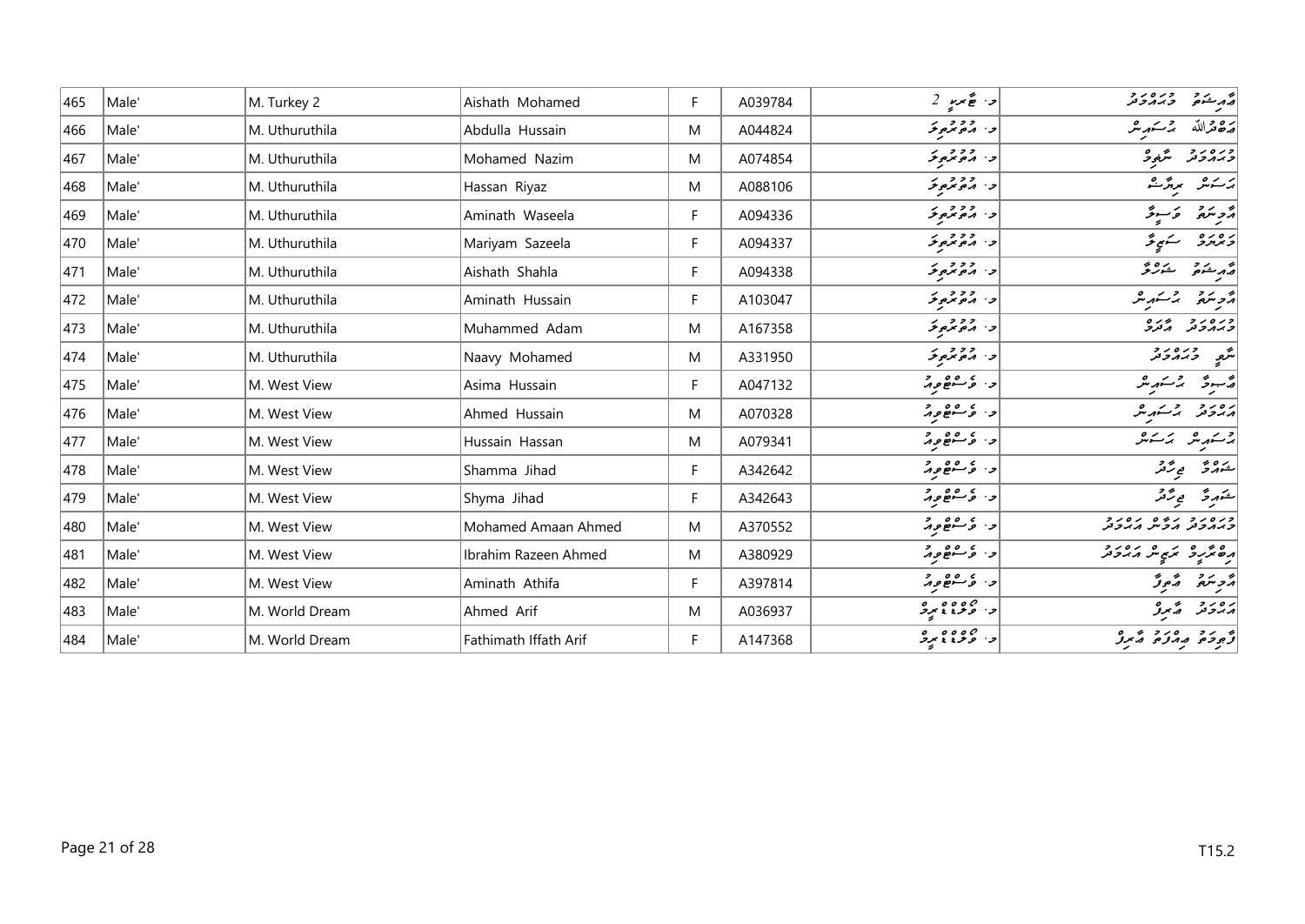| 465 | Male'  | M. Turkey 2    | Aishath Mohamed       | F. | A039784 | $2 \frac{1}{2}$ $\frac{1}{2}$ | و ره ر د<br>تر <i>پر</i> ونر<br>و در مند د م |
|-----|--------|----------------|-----------------------|----|---------|-------------------------------|----------------------------------------------|
| 466 | Male'  | M. Uthuruthila | Abdulla Hussain       | M  | A044824 | د . مومومۇ                    | پر ۱۵ قرالله<br>بر مس <sub>ک</sub> ر مگر     |
| 467 | Male'  | M. Uthuruthila | Mohamed Nazim         | M  | A074854 | د . رو د و                    | و ره د د<br>د بر د تر<br>سَّرْهُ ژ           |
| 468 | Male'  | M. Uthuruthila | Hassan Riyaz          | M  | A088106 | د . مومومۇ                    | پرسەپىر<br>سمرەر شە                          |
| 469 | Male'  | M. Uthuruthila | Aminath Waseela       | F  | A094336 | و٠ مرکوري کو                  | أثر حرمتمو<br>ە سىرىتى                       |
| 470 | Male'  | M. Uthuruthila | Mariyam Sazeela       | F. | A094337 | و٠ مرکوري کو                  | ر ه بر ه<br><del>د</del> بر بر ژ<br>سەپچ ئۇ  |
| 471 | Male'  | M. Uthuruthila | Aishath Shahla        | F. | A094338 | د . مومروځ                    | دگر در شدّه د<br>شەرىخە                      |
| 472 | lMale' | M. Uthuruthila | Aminath Hussain       | F. | A103047 | و٠ مرکوري کو                  | ړ په پر چر شهر شر                            |
| 473 | Male'  | M. Uthuruthila | Muhammed Adam         | M  | A167358 | و٠ مرکوري کو                  | ورەرو پەرە<br><i>جەم</i> رونر مەنز <i>و</i>  |
| 474 | Male'  | M. Uthuruthila | Naavy Mohamed         | M  | A331950 | و . مەممەم                    | شيم وبره د و                                 |
| 475 | lMale' | M. West View   | Asima Hussain         | F  | A047132 | د . ئۇ شەھ بەر                | پر ب<br>برسەمەرىشر                           |
| 476 | Male'  | M. West View   | Ahmed Hussain         | M  | A070328 | د . ۇ شەھ بەر                 | رەرد جەسەر                                   |
| 477 | Male'  | M. West View   | Hussain Hassan        | M  | A079341 | د . و څوه د                   | ر <i>ج ڪم</i> ريش ڪرڪيش                      |
| 478 | Male'  | M. West View   | Shamma Jihad          | F. | A342642 | د . ئۇ شەھ بەر                | شەرىخ<br>ہ ر <sup>ہ</sup> ج                  |
| 479 | Male'  | M. West View   | Shyma Jihad           | F  | A342643 |                               | شەرىخ<br>ج <sup>م</sup> رکو<br>م             |
| 480 | Male'  | M. West View   | Mohamed Amaan Ahmed   | M  | A370552 | د . و څوه د                   | כנסני גנים גםנים<br>בגמבת מכית מגבת          |
| 481 | Male'  | M. West View   | Ibrahim Razeen Ahmed  | M  | A380929 | د . و څوه وه                  | ړەپر دې برې پر ډېردند                        |
| 482 | Male'  | M. West View   | Aminath Athifa        | F  | A397814 | د . و څوه د                   | أثرحه مترة<br>ورصى                           |
| 483 | Male'  | M. World Dream | Ahmed Arif            | M  | A036937 | احن حوق و عموده               | پر و تر<br>ورمرو                             |
| 484 | Male'  | M. World Dream | Fathimath Iffath Arif | F  | A147368 | و۰ ه وه وه و و                | وتجوخا والمروح ومرو                          |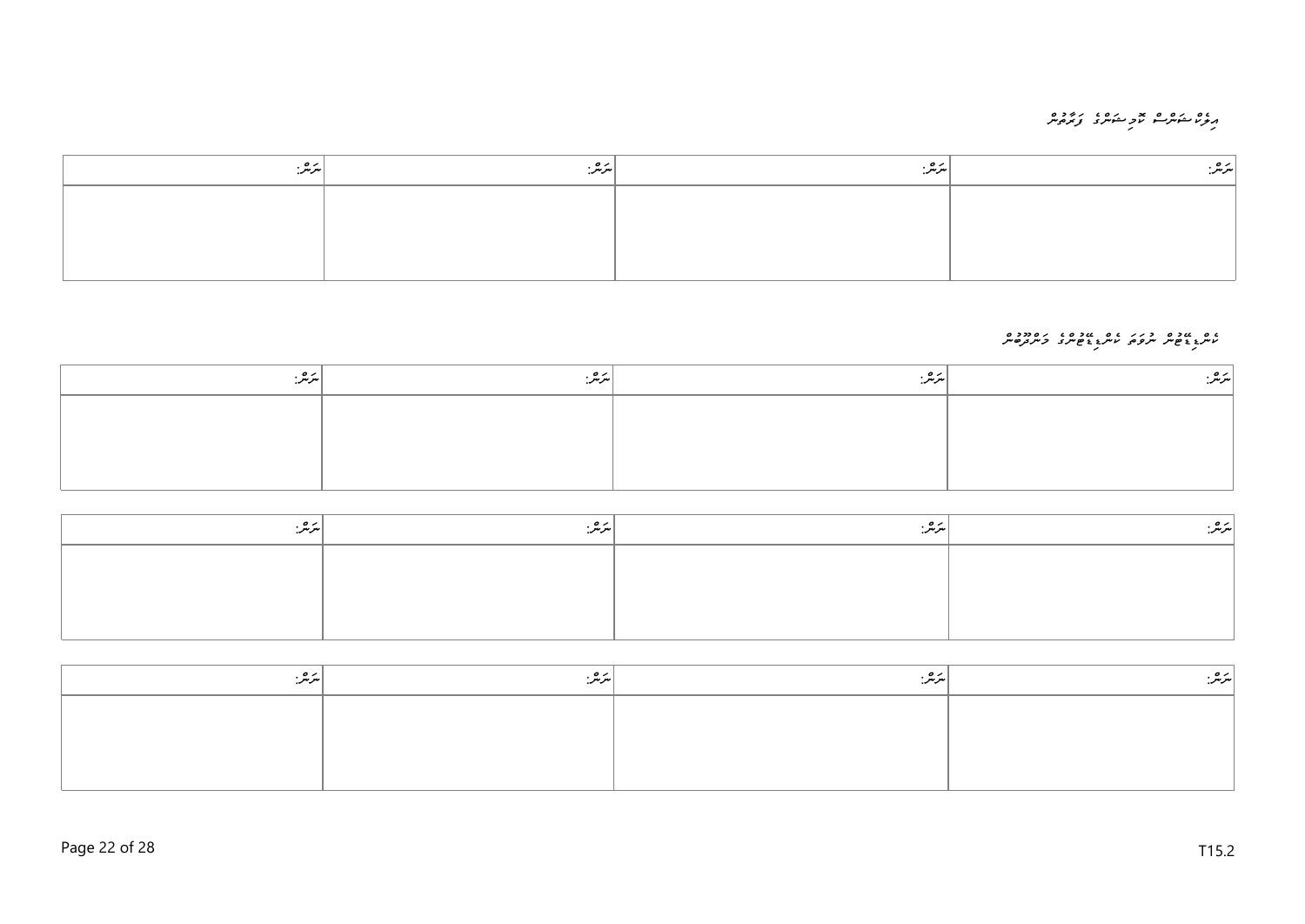## *w7qAn8m? sCw7mRo>u; wEw7mRw;sBo<*

| ' مرمر | 'يئرىثر: |
|--------|----------|
|        |          |
|        |          |
|        |          |

## *w7q9r@w7m> sCw7qHtFoFw7s; mAm=q7 w7qHtFoFw7s;*

| ىر تە | $\mathcal{O} \times$<br>$\sim$ | $\sim$<br>. . | لترنثر |
|-------|--------------------------------|---------------|--------|
|       |                                |               |        |
|       |                                |               |        |
|       |                                |               |        |

| انترنثر: | $^{\circ}$ | يبرهر | $^{\circ}$<br>سرسر |
|----------|------------|-------|--------------------|
|          |            |       |                    |
|          |            |       |                    |
|          |            |       |                    |

| ىرتىر: | 。<br>سر سر | .,<br>مرسر |
|--------|------------|------------|
|        |            |            |
|        |            |            |
|        |            |            |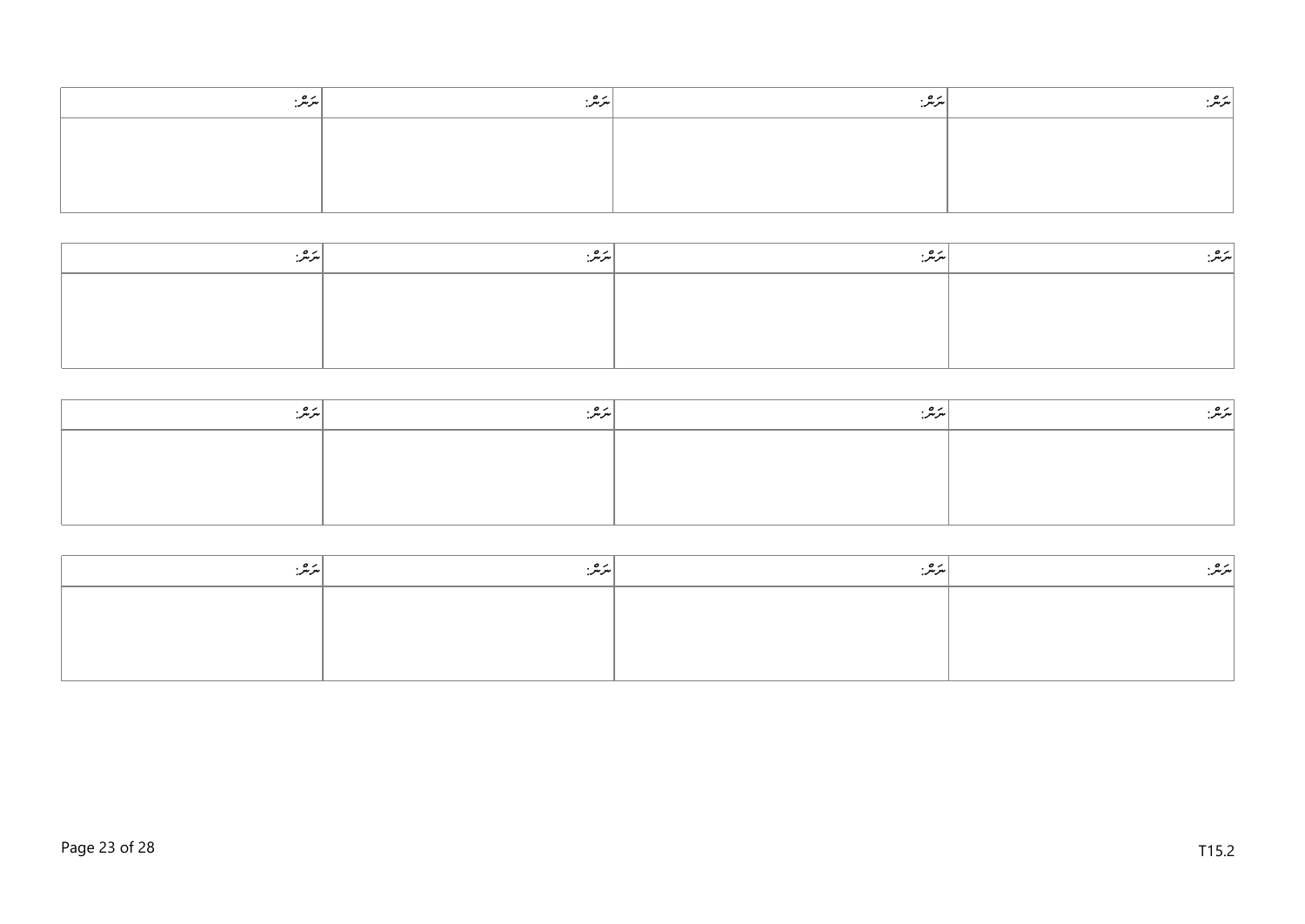| يره. | ο. | ا ير ه |  |
|------|----|--------|--|
|      |    |        |  |
|      |    |        |  |
|      |    |        |  |

| <sup>.</sup> سرسر. |  |
|--------------------|--|
|                    |  |
|                    |  |
|                    |  |

| ىرتىر: | $\sim$ | ا بر هه. | لىرىش |
|--------|--------|----------|-------|
|        |        |          |       |
|        |        |          |       |
|        |        |          |       |

| 。<br>مرس. | $\overline{\phantom{a}}$<br>مر مىر | يتريثر |
|-----------|------------------------------------|--------|
|           |                                    |        |
|           |                                    |        |
|           |                                    |        |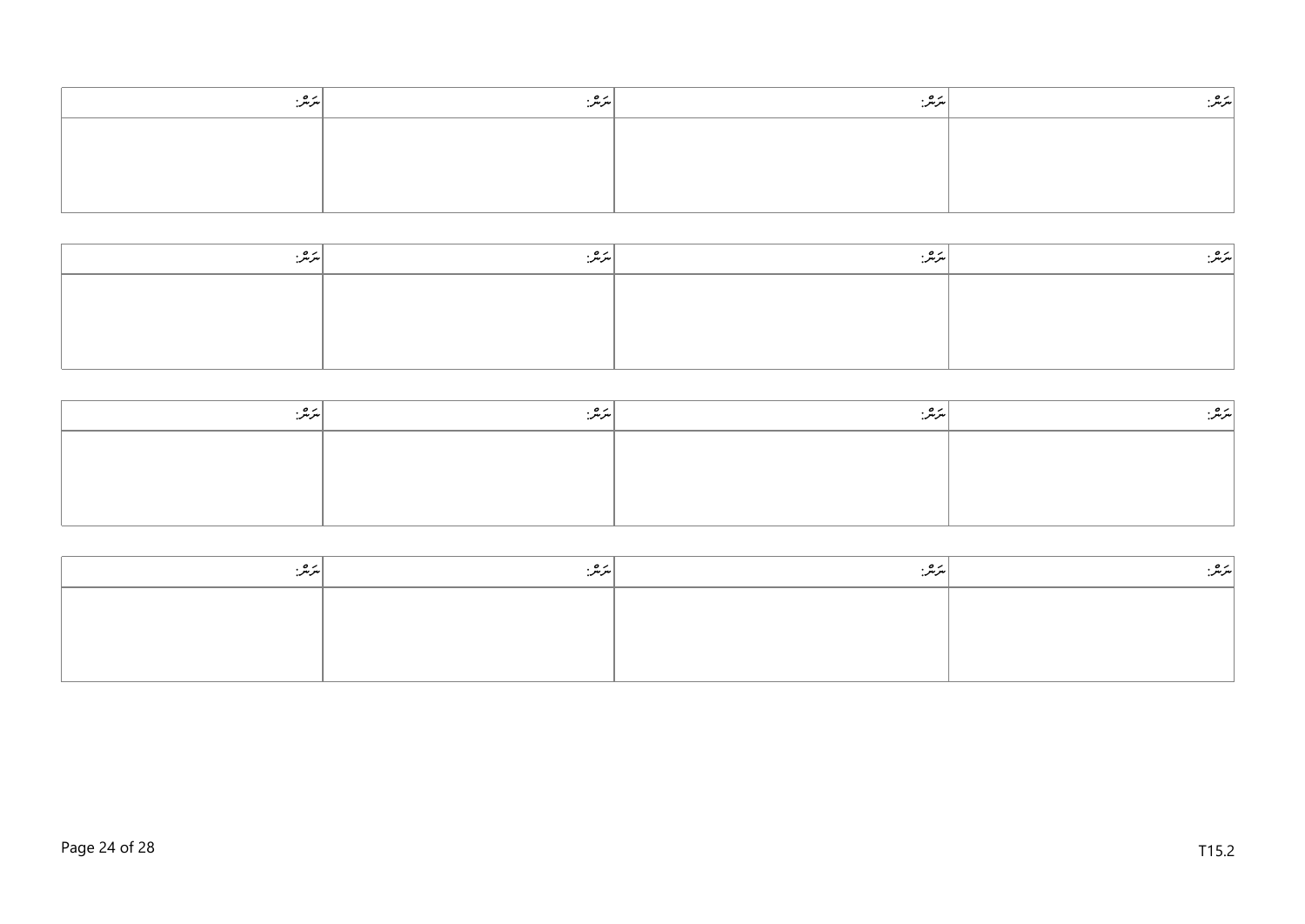| ير هو . | $\overline{\phantom{a}}$ | يرمر | اير هنه. |
|---------|--------------------------|------|----------|
|         |                          |      |          |
|         |                          |      |          |
|         |                          |      |          |

| ىر تىر: | $\circ$ $\sim$<br>" سرسر . | يترمير | o . |
|---------|----------------------------|--------|-----|
|         |                            |        |     |
|         |                            |        |     |
|         |                            |        |     |

| 'تترنثر: | . .<br>يسمونس. |  |
|----------|----------------|--|
|          |                |  |
|          |                |  |
|          |                |  |

|  | . ه |
|--|-----|
|  |     |
|  |     |
|  |     |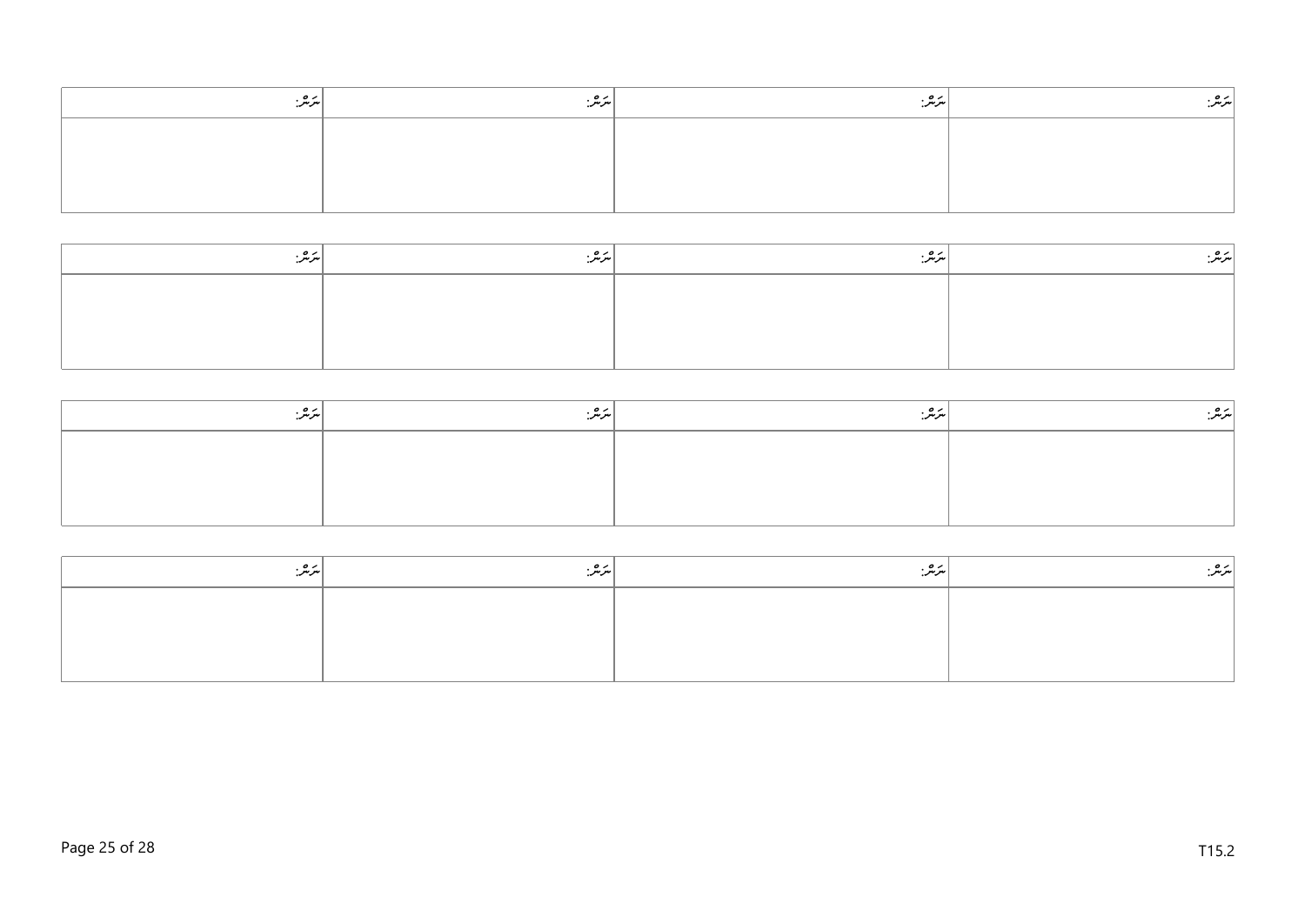| ير هو . | $\overline{\phantom{a}}$ | يرمر | اير هنه. |
|---------|--------------------------|------|----------|
|         |                          |      |          |
|         |                          |      |          |
|         |                          |      |          |

| ىر تىر: | $\circ$ $\sim$<br>" سرسر . | يترمير | o . |
|---------|----------------------------|--------|-----|
|         |                            |        |     |
|         |                            |        |     |
|         |                            |        |     |

| انترنثر: | ر ه |  |
|----------|-----|--|
|          |     |  |
|          |     |  |
|          |     |  |

|  | . ه |
|--|-----|
|  |     |
|  |     |
|  |     |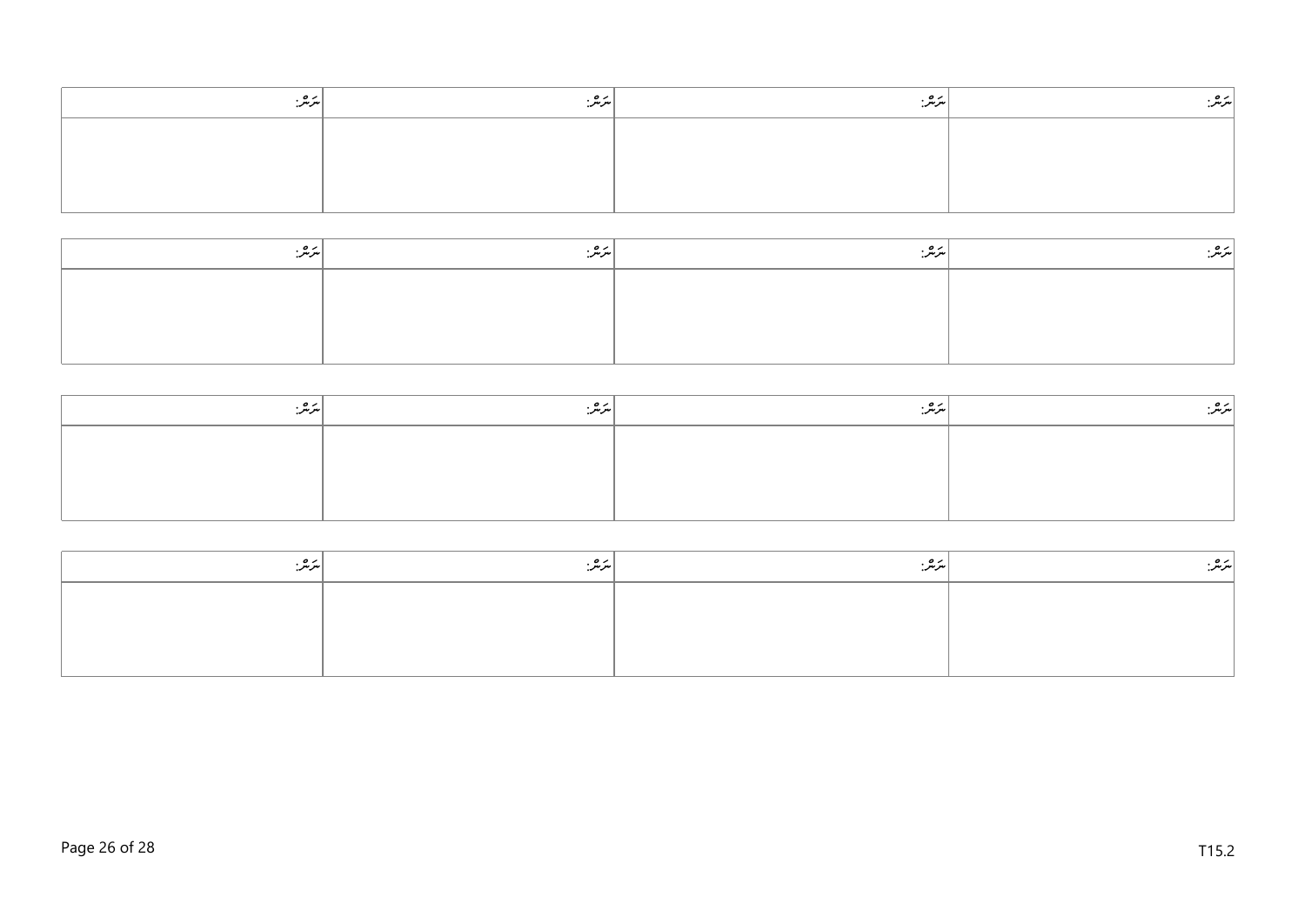| $\cdot$ | ο. | $\frac{\circ}{\cdot}$ | $\sim$<br>سرسر |
|---------|----|-----------------------|----------------|
|         |    |                       |                |
|         |    |                       |                |
|         |    |                       |                |

| يريثن | ' سرسر . |  |
|-------|----------|--|
|       |          |  |
|       |          |  |
|       |          |  |

| بره | $\overline{\phantom{a}}$ | $\overline{\phantom{a}}$<br>َ سومس |  |
|-----|--------------------------|------------------------------------|--|
|     |                          |                                    |  |
|     |                          |                                    |  |
|     |                          |                                    |  |

| 。<br>. س | ىرىىر |  |
|----------|-------|--|
|          |       |  |
|          |       |  |
|          |       |  |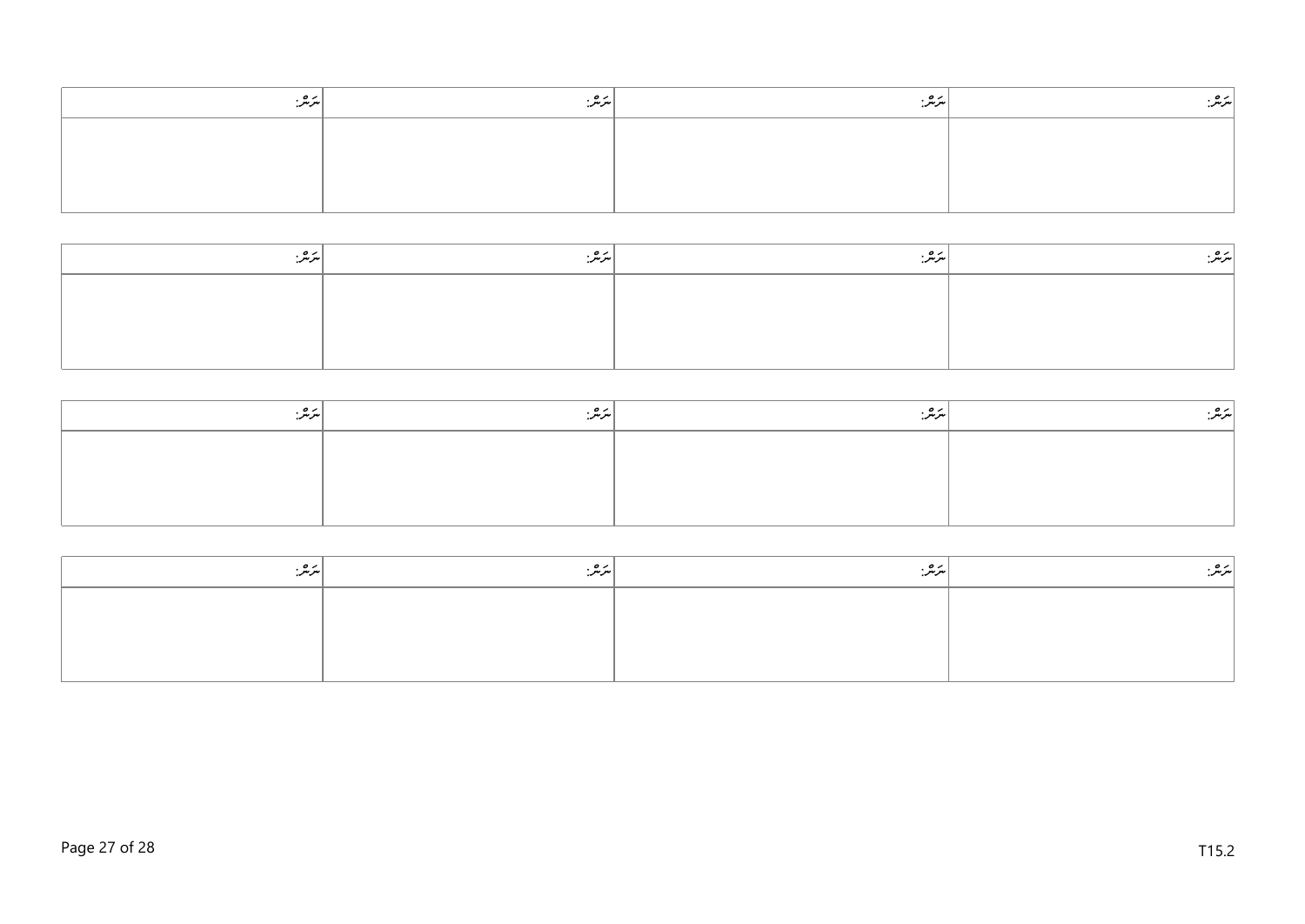| ير هو . | $\overline{\phantom{a}}$ | يرمر | لتزمثن |
|---------|--------------------------|------|--------|
|         |                          |      |        |
|         |                          |      |        |
|         |                          |      |        |

| ىر تىر: | $\circ$ $\sim$<br>" سرسر . | يترمير | o . |
|---------|----------------------------|--------|-----|
|         |                            |        |     |
|         |                            |        |     |
|         |                            |        |     |

| الترنثر: | ' مرتكز: | الترنثر: | .,<br>سرسر. |
|----------|----------|----------|-------------|
|          |          |          |             |
|          |          |          |             |
|          |          |          |             |

|  | . ه |
|--|-----|
|  |     |
|  |     |
|  |     |